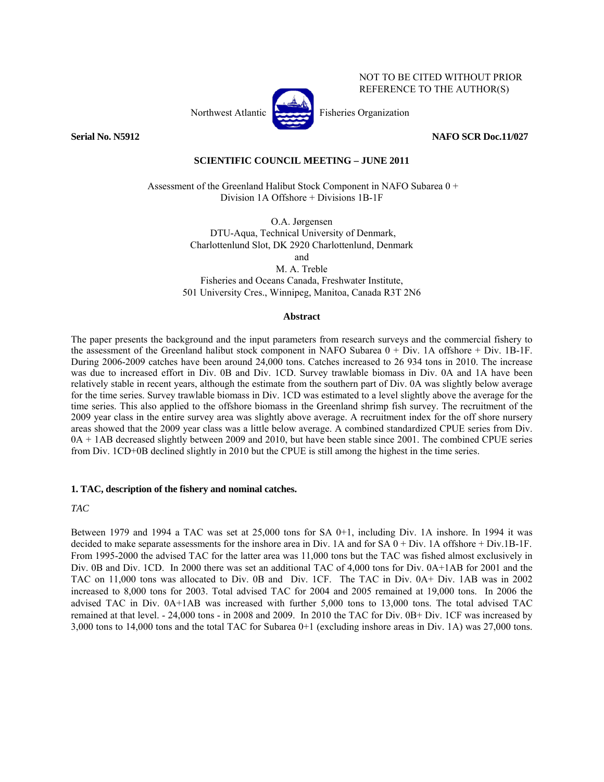

NOT TO BE CITED WITHOUT PRIOR REFERENCE TO THE AUTHOR(S)

**Serial No. N5912 NAFO SCR Doc.11/027** 

## **SCIENTIFIC COUNCIL MEETING – JUNE 2011**

 Assessment of the Greenland Halibut Stock Component in NAFO Subarea 0 + Division 1A Offshore + Divisions 1B-1F

> O.A. Jørgensen DTU-Aqua, Technical University of Denmark, Charlottenlund Slot, DK 2920 Charlottenlund, Denmark

> > and

M. A. Treble Fisheries and Oceans Canada, Freshwater Institute, 501 University Cres., Winnipeg, Manitoa, Canada R3T 2N6

## **Abstract**

The paper presents the background and the input parameters from research surveys and the commercial fishery to the assessment of the Greenland halibut stock component in NAFO Subarea 0 + Div. 1A offshore + Div. 1B-1F. During 2006-2009 catches have been around 24,000 tons. Catches increased to 26 934 tons in 2010. The increase was due to increased effort in Div. 0B and Div. 1CD. Survey trawlable biomass in Div. 0A and 1A have been relatively stable in recent years, although the estimate from the southern part of Div. 0A was slightly below average for the time series. Survey trawlable biomass in Div. 1CD was estimated to a level slightly above the average for the time series. This also applied to the offshore biomass in the Greenland shrimp fish survey. The recruitment of the 2009 year class in the entire survey area was slightly above average. A recruitment index for the off shore nursery areas showed that the 2009 year class was a little below average. A combined standardized CPUE series from Div. 0A + 1AB decreased slightly between 2009 and 2010, but have been stable since 2001. The combined CPUE series from Div. 1CD+0B declined slightly in 2010 but the CPUE is still among the highest in the time series.

## **1. TAC, description of the fishery and nominal catches.**

*TAC* 

Between 1979 and 1994 a TAC was set at 25,000 tons for SA 0+1, including Div. 1A inshore. In 1994 it was decided to make separate assessments for the inshore area in Div. 1A and for SA 0 + Div. 1A offshore + Div.1B-1F. From 1995-2000 the advised TAC for the latter area was 11,000 tons but the TAC was fished almost exclusively in Div. 0B and Div. 1CD. In 2000 there was set an additional TAC of 4,000 tons for Div. 0A+1AB for 2001 and the TAC on 11,000 tons was allocated to Div. 0B and Div. 1CF. The TAC in Div. 0A+ Div. 1AB was in 2002 increased to 8,000 tons for 2003. Total advised TAC for 2004 and 2005 remained at 19,000 tons. In 2006 the advised TAC in Div. 0A+1AB was increased with further 5,000 tons to 13,000 tons. The total advised TAC remained at that level. - 24,000 tons - in 2008 and 2009. In 2010 the TAC for Div. 0B+ Div. 1CF was increased by 3,000 tons to 14,000 tons and the total TAC for Subarea 0+1 (excluding inshore areas in Div. 1A) was 27,000 tons.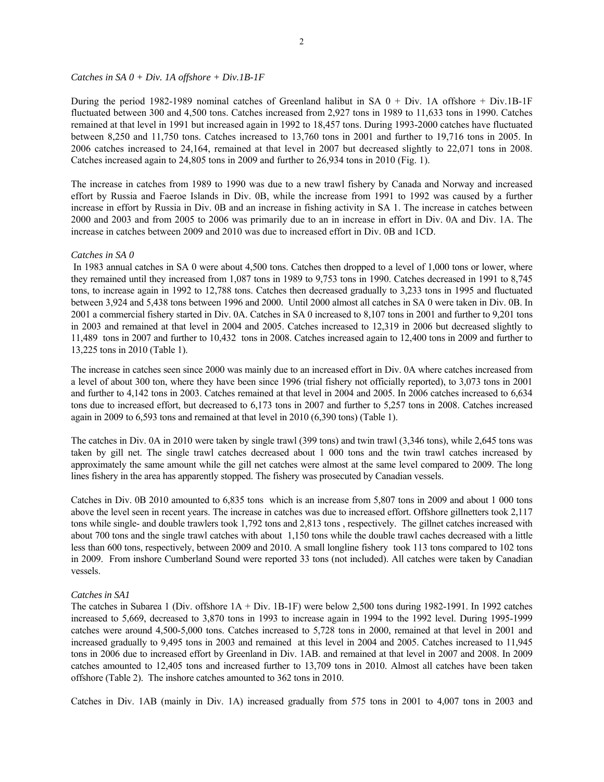#### *Catches in SA 0 + Div. 1A offshore + Div.1B-1F*

During the period 1982-1989 nominal catches of Greenland halibut in SA  $0 + Div.$  1A offshore + Div.1B-1F fluctuated between 300 and 4,500 tons. Catches increased from 2,927 tons in 1989 to 11,633 tons in 1990. Catches remained at that level in 1991 but increased again in 1992 to 18,457 tons. During 1993-2000 catches have fluctuated between 8,250 and 11,750 tons. Catches increased to 13,760 tons in 2001 and further to 19,716 tons in 2005. In 2006 catches increased to 24,164, remained at that level in 2007 but decreased slightly to 22,071 tons in 2008. Catches increased again to 24,805 tons in 2009 and further to 26,934 tons in 2010 (Fig. 1).

The increase in catches from 1989 to 1990 was due to a new trawl fishery by Canada and Norway and increased effort by Russia and Faeroe Islands in Div. 0B, while the increase from 1991 to 1992 was caused by a further increase in effort by Russia in Div. 0B and an increase in fishing activity in SA 1. The increase in catches between 2000 and 2003 and from 2005 to 2006 was primarily due to an in increase in effort in Div. 0A and Div. 1A. The increase in catches between 2009 and 2010 was due to increased effort in Div. 0B and 1CD.

#### *Catches in SA 0*

 In 1983 annual catches in SA 0 were about 4,500 tons. Catches then dropped to a level of 1,000 tons or lower, where they remained until they increased from 1,087 tons in 1989 to 9,753 tons in 1990. Catches decreased in 1991 to 8,745 tons, to increase again in 1992 to 12,788 tons. Catches then decreased gradually to 3,233 tons in 1995 and fluctuated between 3,924 and 5,438 tons between 1996 and 2000. Until 2000 almost all catches in SA 0 were taken in Div. 0B. In 2001 a commercial fishery started in Div. 0A. Catches in SA 0 increased to 8,107 tons in 2001 and further to 9,201 tons in 2003 and remained at that level in 2004 and 2005. Catches increased to 12,319 in 2006 but decreased slightly to 11,489 tons in 2007 and further to 10,432 tons in 2008. Catches increased again to 12,400 tons in 2009 and further to 13,225 tons in 2010 (Table 1).

The increase in catches seen since 2000 was mainly due to an increased effort in Div. 0A where catches increased from a level of about 300 ton, where they have been since 1996 (trial fishery not officially reported), to 3,073 tons in 2001 and further to 4,142 tons in 2003. Catches remained at that level in 2004 and 2005. In 2006 catches increased to 6,634 tons due to increased effort, but decreased to 6,173 tons in 2007 and further to 5,257 tons in 2008. Catches increased again in 2009 to 6,593 tons and remained at that level in 2010 (6,390 tons) (Table 1).

The catches in Div. 0A in 2010 were taken by single trawl (399 tons) and twin trawl (3,346 tons), while 2,645 tons was taken by gill net. The single trawl catches decreased about 1 000 tons and the twin trawl catches increased by approximately the same amount while the gill net catches were almost at the same level compared to 2009. The long lines fishery in the area has apparently stopped. The fishery was prosecuted by Canadian vessels.

Catches in Div. 0B 2010 amounted to 6,835 tons which is an increase from 5,807 tons in 2009 and about 1 000 tons above the level seen in recent years. The increase in catches was due to increased effort. Offshore gillnetters took 2,117 tons while single- and double trawlers took 1,792 tons and 2,813 tons , respectively. The gillnet catches increased with about 700 tons and the single trawl catches with about 1,150 tons while the double trawl caches decreased with a little less than 600 tons, respectively, between 2009 and 2010. A small longline fishery took 113 tons compared to 102 tons in 2009. From inshore Cumberland Sound were reported 33 tons (not included). All catches were taken by Canadian vessels.

## *Catches in SA1*

The catches in Subarea 1 (Div. offshore 1A + Div. 1B-1F) were below 2,500 tons during 1982-1991. In 1992 catches increased to 5,669, decreased to 3,870 tons in 1993 to increase again in 1994 to the 1992 level. During 1995-1999 catches were around 4,500-5,000 tons. Catches increased to 5,728 tons in 2000, remained at that level in 2001 and increased gradually to 9,495 tons in 2003 and remained at this level in 2004 and 2005. Catches increased to 11,945 tons in 2006 due to increased effort by Greenland in Div. 1AB. and remained at that level in 2007 and 2008. In 2009 catches amounted to 12,405 tons and increased further to 13,709 tons in 2010. Almost all catches have been taken offshore (Table 2). The inshore catches amounted to 362 tons in 2010.

Catches in Div. 1AB (mainly in Div. 1A) increased gradually from 575 tons in 2001 to 4,007 tons in 2003 and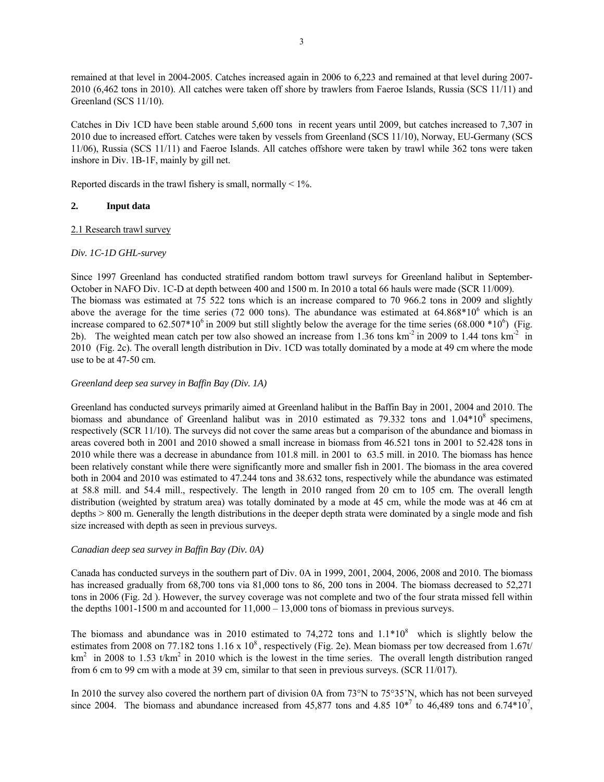remained at that level in 2004-2005. Catches increased again in 2006 to 6,223 and remained at that level during 2007- 2010 (6,462 tons in 2010). All catches were taken off shore by trawlers from Faeroe Islands, Russia (SCS 11/11) and Greenland (SCS 11/10).

Catches in Div 1CD have been stable around 5,600 tons in recent years until 2009, but catches increased to 7,307 in 2010 due to increased effort. Catches were taken by vessels from Greenland (SCS 11/10), Norway, EU-Germany (SCS 11/06), Russia (SCS 11/11) and Faeroe Islands. All catches offshore were taken by trawl while 362 tons were taken inshore in Div. 1B-1F, mainly by gill net.

Reported discards in the trawl fishery is small, normally  $\leq 1\%$ .

## **2. Input data**

## 2.1 Research trawl survey

## *Div. 1C-1D GHL-survey*

Since 1997 Greenland has conducted stratified random bottom trawl surveys for Greenland halibut in September-October in NAFO Div. 1C-D at depth between 400 and 1500 m. In 2010 a total 66 hauls were made (SCR 11/009). The biomass was estimated at 75 522 tons which is an increase compared to 70 966.2 tons in 2009 and slightly above the average for the time series (72 000 tons). The abundance was estimated at  $64.868*10^6$  which is an increase compared to  $62.507*10^6$  in 2009 but still slightly below the average for the time series  $(68.000*10^6)$  (Fig. 2b). The weighted mean catch per tow also showed an increase from 1.36 tons  $km^{-2}$  in 2009 to 1.44 tons  $km^{-2}$  in 2010 (Fig. 2c). The overall length distribution in Div. 1CD was totally dominated by a mode at 49 cm where the mode use to be at 47-50 cm.

## *Greenland deep sea survey in Baffin Bay (Div. 1A)*

Greenland has conducted surveys primarily aimed at Greenland halibut in the Baffin Bay in 2001, 2004 and 2010. The biomass and abundance of Greenland halibut was in 2010 estimated as  $79.332$  tons and  $1.04*10<sup>8</sup>$  specimens, respectively (SCR 11/10). The surveys did not cover the same areas but a comparison of the abundance and biomass in areas covered both in 2001 and 2010 showed a small increase in biomass from 46.521 tons in 2001 to 52.428 tons in 2010 while there was a decrease in abundance from 101.8 mill. in 2001 to 63.5 mill. in 2010. The biomass has hence been relatively constant while there were significantly more and smaller fish in 2001. The biomass in the area covered both in 2004 and 2010 was estimated to 47.244 tons and 38.632 tons, respectively while the abundance was estimated at 58.8 mill. and 54.4 mill., respectively. The length in 2010 ranged from 20 cm to 105 cm. The overall length distribution (weighted by stratum area) was totally dominated by a mode at 45 cm, while the mode was at 46 cm at depths > 800 m. Generally the length distributions in the deeper depth strata were dominated by a single mode and fish size increased with depth as seen in previous surveys.

## *Canadian deep sea survey in Baffin Bay (Div. 0A)*

Canada has conducted surveys in the southern part of Div. 0A in 1999, 2001, 2004, 2006, 2008 and 2010. The biomass has increased gradually from 68,700 tons via 81,000 tons to 86, 200 tons in 2004. The biomass decreased to 52,271 tons in 2006 (Fig. 2d ). However, the survey coverage was not complete and two of the four strata missed fell within the depths  $1001-1500$  m and accounted for  $11,000 - 13,000$  tons of biomass in previous surveys.

The biomass and abundance was in 2010 estimated to 74,272 tons and  $1.1*10<sup>8</sup>$  which is slightly below the estimates from 2008 on 77.182 tons  $1.16 \times 10^8$ , respectively (Fig. 2e). Mean biomass per tow decreased from 1.67t/  $km<sup>2</sup>$  in 2008 to 1.53 t/km<sup>2</sup> in 2010 which is the lowest in the time series. The overall length distribution ranged from 6 cm to 99 cm with a mode at 39 cm, similar to that seen in previous surveys. (SCR 11/017).

In 2010 the survey also covered the northern part of division 0A from 73°N to 75°35'N, which has not been surveyed since 2004. The biomass and abundance increased from 45,877 tons and 4.85  $10^{*7}$  to 46,489 tons and 6.74 $*10^7$ ,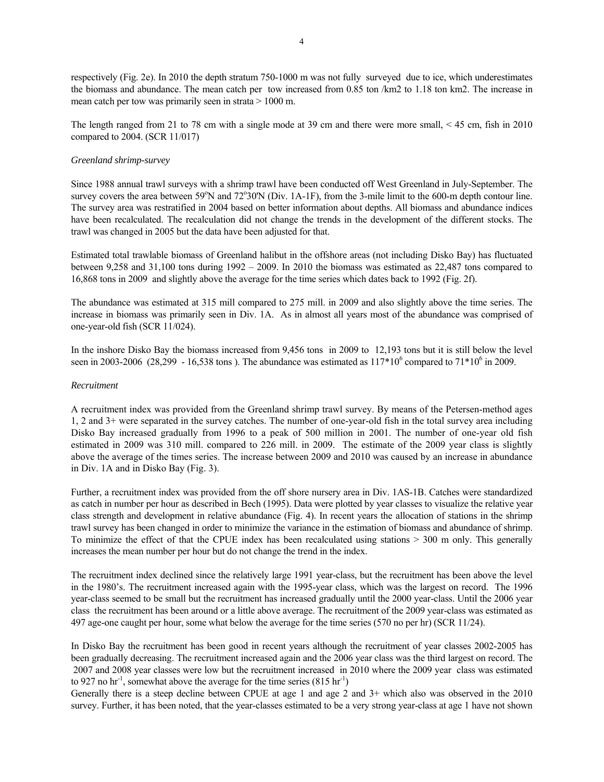respectively (Fig. 2e). In 2010 the depth stratum 750-1000 m was not fully surveyed due to ice, which underestimates the biomass and abundance. The mean catch per tow increased from 0.85 ton /km2 to 1.18 ton km2. The increase in mean catch per tow was primarily seen in strata > 1000 m.

The length ranged from 21 to 78 cm with a single mode at 39 cm and there were more small, < 45 cm, fish in 2010 compared to 2004. (SCR 11/017)

#### *Greenland shrimp-survey*

Since 1988 annual trawl surveys with a shrimp trawl have been conducted off West Greenland in July-September. The survey covers the area between 59°N and 72°30'N (Div. 1A-1F), from the 3-mile limit to the 600-m depth contour line. The survey area was restratified in 2004 based on better information about depths. All biomass and abundance indices have been recalculated. The recalculation did not change the trends in the development of the different stocks. The trawl was changed in 2005 but the data have been adjusted for that.

Estimated total trawlable biomass of Greenland halibut in the offshore areas (not including Disko Bay) has fluctuated between 9,258 and 31,100 tons during 1992 – 2009. In 2010 the biomass was estimated as 22,487 tons compared to 16,868 tons in 2009 and slightly above the average for the time series which dates back to 1992 (Fig. 2f).

The abundance was estimated at 315 mill compared to 275 mill. in 2009 and also slightly above the time series. The increase in biomass was primarily seen in Div. 1A. As in almost all years most of the abundance was comprised of one-year-old fish (SCR 11/024).

In the inshore Disko Bay the biomass increased from 9,456 tons in 2009 to 12,193 tons but it is still below the level seen in 2003-2006 (28,299 - 16,538 tons). The abundance was estimated as  $117*10^6$  compared to  $71*10^6$  in 2009.

#### *Recruitment*

A recruitment index was provided from the Greenland shrimp trawl survey. By means of the Petersen-method ages 1, 2 and 3+ were separated in the survey catches. The number of one-year-old fish in the total survey area including Disko Bay increased gradually from 1996 to a peak of 500 million in 2001. The number of one-year old fish estimated in 2009 was 310 mill. compared to 226 mill. in 2009. The estimate of the 2009 year class is slightly above the average of the times series. The increase between 2009 and 2010 was caused by an increase in abundance in Div. 1A and in Disko Bay (Fig. 3).

Further, a recruitment index was provided from the off shore nursery area in Div. 1AS-1B. Catches were standardized as catch in number per hour as described in Bech (1995). Data were plotted by year classes to visualize the relative year class strength and development in relative abundance (Fig. 4). In recent years the allocation of stations in the shrimp trawl survey has been changed in order to minimize the variance in the estimation of biomass and abundance of shrimp. To minimize the effect of that the CPUE index has been recalculated using stations > 300 m only. This generally increases the mean number per hour but do not change the trend in the index.

The recruitment index declined since the relatively large 1991 year-class, but the recruitment has been above the level in the 1980's. The recruitment increased again with the 1995-year class, which was the largest on record. The 1996 year-class seemed to be small but the recruitment has increased gradually until the 2000 year-class. Until the 2006 year class the recruitment has been around or a little above average. The recruitment of the 2009 year-class was estimated as 497 age-one caught per hour, some what below the average for the time series (570 no per hr) (SCR 11/24).

In Disko Bay the recruitment has been good in recent years although the recruitment of year classes 2002-2005 has been gradually decreasing. The recruitment increased again and the 2006 year class was the third largest on record. The 2007 and 2008 year classes were low but the recruitment increased in 2010 where the 2009 year class was estimated to 927 no  $\text{hr}^{-1}$ , somewhat above the average for the time series (815  $\text{hr}^{-1}$ )

Generally there is a steep decline between CPUE at age 1 and age 2 and 3+ which also was observed in the 2010 survey. Further, it has been noted, that the year-classes estimated to be a very strong year-class at age 1 have not shown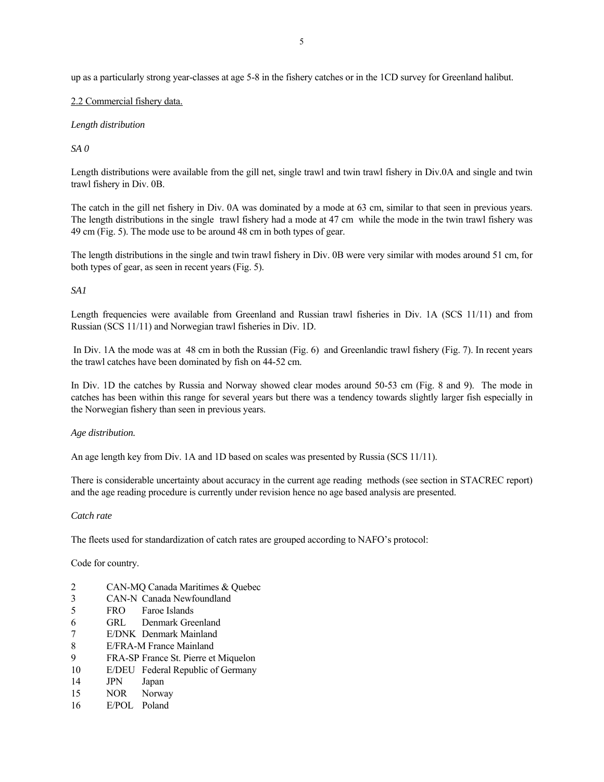up as a particularly strong year-classes at age 5-8 in the fishery catches or in the 1CD survey for Greenland halibut.

## 2.2 Commercial fishery data.

## *Length distribution*

*SA 0* 

Length distributions were available from the gill net, single trawl and twin trawl fishery in Div.0A and single and twin trawl fishery in Div. 0B.

The catch in the gill net fishery in Div. 0A was dominated by a mode at 63 cm, similar to that seen in previous years. The length distributions in the single trawl fishery had a mode at 47 cm while the mode in the twin trawl fishery was 49 cm (Fig. 5). The mode use to be around 48 cm in both types of gear.

The length distributions in the single and twin trawl fishery in Div. 0B were very similar with modes around 51 cm, for both types of gear, as seen in recent years (Fig. 5).

## *SA1*

Length frequencies were available from Greenland and Russian trawl fisheries in Div. 1A (SCS 11/11) and from Russian (SCS 11/11) and Norwegian trawl fisheries in Div. 1D.

 In Div. 1A the mode was at 48 cm in both the Russian (Fig. 6) and Greenlandic trawl fishery (Fig. 7). In recent years the trawl catches have been dominated by fish on 44-52 cm.

In Div. 1D the catches by Russia and Norway showed clear modes around 50-53 cm (Fig. 8 and 9). The mode in catches has been within this range for several years but there was a tendency towards slightly larger fish especially in the Norwegian fishery than seen in previous years.

## *Age distribution.*

An age length key from Div. 1A and 1D based on scales was presented by Russia (SCS 11/11).

There is considerable uncertainty about accuracy in the current age reading methods (see section in STACREC report) and the age reading procedure is currently under revision hence no age based analysis are presented.

## *Catch rate*

The fleets used for standardization of catch rates are grouped according to NAFO's protocol:

Code for country.

- 2 CAN-MQ Canada Maritimes & Quebec
- 3 CAN-N Canada Newfoundland
- 5 FRO Faroe Islands
- 6 GRL Denmark Greenland
- 7 E/DNK Denmark Mainland
- 8 E/FRA-M France Mainland
- 9 FRA-SP France St. Pierre et Miquelon
- 10 E/DEU Federal Republic of Germany
- 14 JPN Japan
- 15 NOR Norway
- 16 E/POL Poland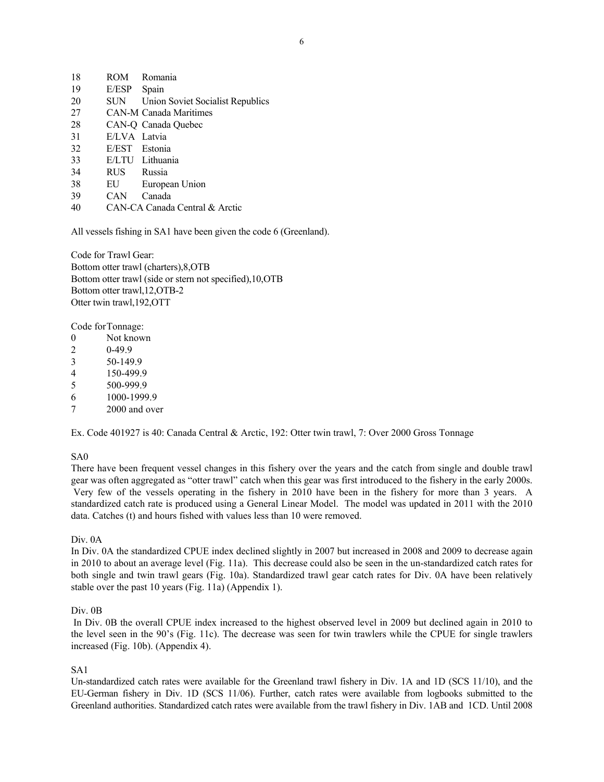| 18 | ROM           | Romania                                     |
|----|---------------|---------------------------------------------|
| 19 | E/ESP         | Spain                                       |
| 20 |               | <b>SUN</b> Union Soviet Socialist Republics |
| 27 |               | <b>CAN-M Canada Maritimes</b>               |
| 28 |               | CAN-O Canada Ouebec                         |
| 31 | E/LVA Latvia  |                                             |
| 32 | E/EST Estonia |                                             |
| 33 |               | E/LTU Lithuania                             |
| 34 | RUS Russia    |                                             |
| 38 | EU            | European Union                              |
| 39 | CAN           | Canada                                      |
| 40 |               | CAN-CA Canada Central & Arctic              |

All vessels fishing in SA1 have been given the code 6 (Greenland).

Code for Trawl Gear: Bottom otter trawl (charters),8,OTB Bottom otter trawl (side or stern not specified),10,OTB Bottom otter trawl,12,OTB-2 Otter twin trawl,192,OTT

Code for Tonnage:

- 0 Not known
- 2 0-49.9
- 3 50-149.9
- 4 150-499.9
- 5 500-999.9
- 6 1000-1999.9
- 7 2000 and over

Ex. Code 401927 is 40: Canada Central & Arctic, 192: Otter twin trawl, 7: Over 2000 Gross Tonnage

## SA0

There have been frequent vessel changes in this fishery over the years and the catch from single and double trawl gear was often aggregated as "otter trawl" catch when this gear was first introduced to the fishery in the early 2000s. Very few of the vessels operating in the fishery in 2010 have been in the fishery for more than 3 years. A standardized catch rate is produced using a General Linear Model. The model was updated in 2011 with the 2010 data. Catches (t) and hours fished with values less than 10 were removed.

Div. 0A

In Div. 0A the standardized CPUE index declined slightly in 2007 but increased in 2008 and 2009 to decrease again in 2010 to about an average level (Fig. 11a). This decrease could also be seen in the un-standardized catch rates for both single and twin trawl gears (Fig. 10a). Standardized trawl gear catch rates for Div. 0A have been relatively stable over the past 10 years (Fig. 11a) (Appendix 1).

## Div. 0B

 In Div. 0B the overall CPUE index increased to the highest observed level in 2009 but declined again in 2010 to the level seen in the 90's (Fig. 11c). The decrease was seen for twin trawlers while the CPUE for single trawlers increased (Fig. 10b). (Appendix 4).

## SA1

Un-standardized catch rates were available for the Greenland trawl fishery in Div. 1A and 1D (SCS 11/10), and the EU-German fishery in Div. 1D (SCS 11/06). Further, catch rates were available from logbooks submitted to the Greenland authorities. Standardized catch rates were available from the trawl fishery in Div. 1AB and 1CD. Until 2008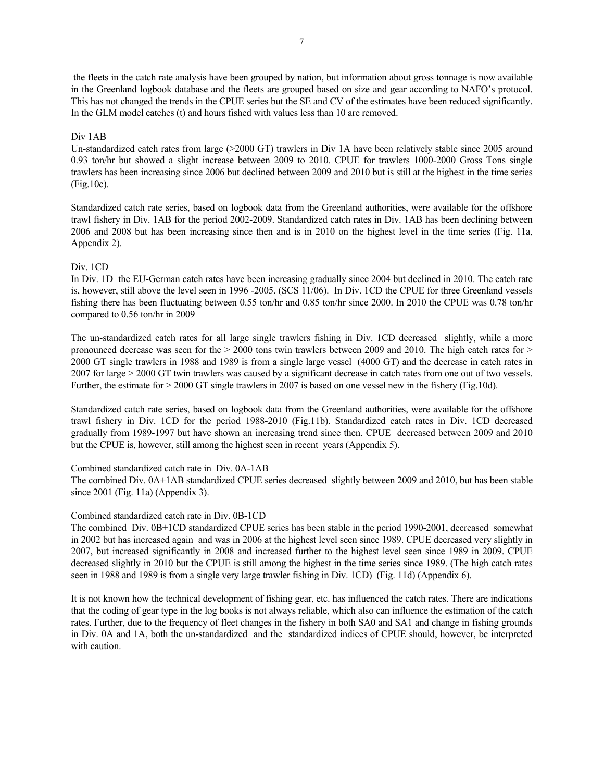the fleets in the catch rate analysis have been grouped by nation, but information about gross tonnage is now available in the Greenland logbook database and the fleets are grouped based on size and gear according to NAFO's protocol. This has not changed the trends in the CPUE series but the SE and CV of the estimates have been reduced significantly. In the GLM model catches (t) and hours fished with values less than 10 are removed.

## Div 1AB

Un-standardized catch rates from large (>2000 GT) trawlers in Div 1A have been relatively stable since 2005 around 0.93 ton/hr but showed a slight increase between 2009 to 2010. CPUE for trawlers 1000-2000 Gross Tons single trawlers has been increasing since 2006 but declined between 2009 and 2010 but is still at the highest in the time series (Fig.10c).

Standardized catch rate series, based on logbook data from the Greenland authorities, were available for the offshore trawl fishery in Div. 1AB for the period 2002-2009. Standardized catch rates in Div. 1AB has been declining between 2006 and 2008 but has been increasing since then and is in 2010 on the highest level in the time series (Fig. 11a, Appendix 2).

## Div. 1CD

In Div. 1D the EU-German catch rates have been increasing gradually since 2004 but declined in 2010. The catch rate is, however, still above the level seen in 1996 -2005. (SCS 11/06). In Div. 1CD the CPUE for three Greenland vessels fishing there has been fluctuating between 0.55 ton/hr and 0.85 ton/hr since 2000. In 2010 the CPUE was 0.78 ton/hr compared to 0.56 ton/hr in 2009

The un-standardized catch rates for all large single trawlers fishing in Div. 1CD decreased slightly, while a more pronounced decrease was seen for the  $> 2000$  tons twin trawlers between 2009 and 2010. The high catch rates for  $>$ 2000 GT single trawlers in 1988 and 1989 is from a single large vessel (4000 GT) and the decrease in catch rates in 2007 for large > 2000 GT twin trawlers was caused by a significant decrease in catch rates from one out of two vessels. Further, the estimate for  $> 2000$  GT single trawlers in 2007 is based on one vessel new in the fishery (Fig.10d).

Standardized catch rate series, based on logbook data from the Greenland authorities, were available for the offshore trawl fishery in Div. 1CD for the period 1988-2010 (Fig.11b). Standardized catch rates in Div. 1CD decreased gradually from 1989-1997 but have shown an increasing trend since then. CPUE decreased between 2009 and 2010 but the CPUE is, however, still among the highest seen in recent years (Appendix 5).

## Combined standardized catch rate in Div. 0A-1AB

The combined Div. 0A+1AB standardized CPUE series decreased slightly between 2009 and 2010, but has been stable since 2001 (Fig. 11a) (Appendix 3).

## Combined standardized catch rate in Div. 0B-1CD

The combined Div. 0B+1CD standardized CPUE series has been stable in the period 1990-2001, decreased somewhat in 2002 but has increased again and was in 2006 at the highest level seen since 1989. CPUE decreased very slightly in 2007, but increased significantly in 2008 and increased further to the highest level seen since 1989 in 2009. CPUE decreased slightly in 2010 but the CPUE is still among the highest in the time series since 1989. (The high catch rates seen in 1988 and 1989 is from a single very large trawler fishing in Div. 1CD) (Fig. 11d) (Appendix 6).

It is not known how the technical development of fishing gear, etc. has influenced the catch rates. There are indications that the coding of gear type in the log books is not always reliable, which also can influence the estimation of the catch rates. Further, due to the frequency of fleet changes in the fishery in both SA0 and SA1 and change in fishing grounds in Div. 0A and 1A, both the <u>un-standardized</u> and the standardized indices of CPUE should, however, be interpreted with caution.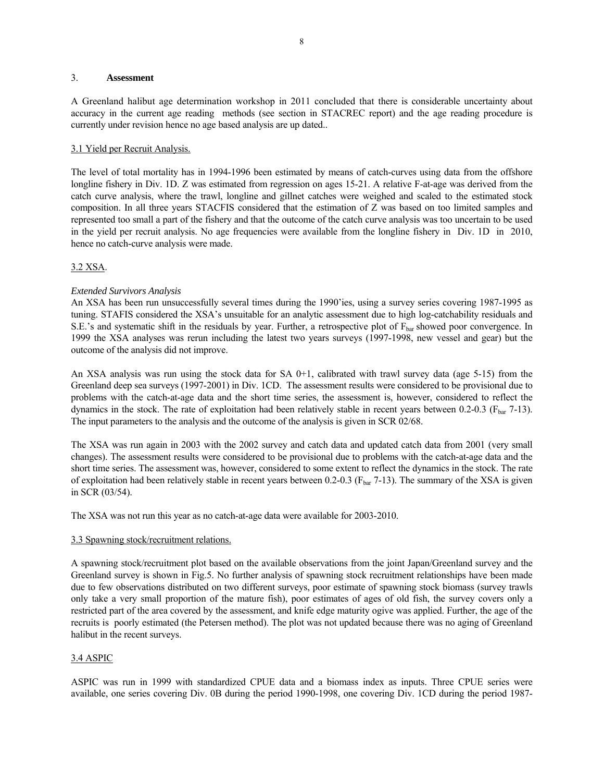#### 3. **Assessment**

A Greenland halibut age determination workshop in 2011 concluded that there is considerable uncertainty about accuracy in the current age reading methods (see section in STACREC report) and the age reading procedure is currently under revision hence no age based analysis are up dated..

## 3.1 Yield per Recruit Analysis.

The level of total mortality has in 1994-1996 been estimated by means of catch-curves using data from the offshore longline fishery in Div. 1D. Z was estimated from regression on ages 15-21. A relative F-at-age was derived from the catch curve analysis, where the trawl, longline and gillnet catches were weighed and scaled to the estimated stock composition. In all three years STACFIS considered that the estimation of Z was based on too limited samples and represented too small a part of the fishery and that the outcome of the catch curve analysis was too uncertain to be used in the yield per recruit analysis. No age frequencies were available from the longline fishery in Div. 1D in 2010, hence no catch-curve analysis were made.

## 3.2 XSA.

## *Extended Survivors Analysis*

An XSA has been run unsuccessfully several times during the 1990'ies, using a survey series covering 1987-1995 as tuning. STAFIS considered the XSA's unsuitable for an analytic assessment due to high log-catchability residuals and S.E.'s and systematic shift in the residuals by year. Further, a retrospective plot of  $F_{bar}$  showed poor convergence. In 1999 the XSA analyses was rerun including the latest two years surveys (1997-1998, new vessel and gear) but the outcome of the analysis did not improve.

An XSA analysis was run using the stock data for SA  $0+1$ , calibrated with trawl survey data (age 5-15) from the Greenland deep sea surveys (1997-2001) in Div. 1CD. The assessment results were considered to be provisional due to problems with the catch-at-age data and the short time series, the assessment is, however, considered to reflect the dynamics in the stock. The rate of exploitation had been relatively stable in recent years between 0.2-0.3 ( $F_{\text{bar}}$  7-13). The input parameters to the analysis and the outcome of the analysis is given in SCR 02/68.

The XSA was run again in 2003 with the 2002 survey and catch data and updated catch data from 2001 (very small changes). The assessment results were considered to be provisional due to problems with the catch-at-age data and the short time series. The assessment was, however, considered to some extent to reflect the dynamics in the stock. The rate of exploitation had been relatively stable in recent years between 0.2-0.3 ( $F_{bar}$  7-13). The summary of the XSA is given in SCR (03/54).

The XSA was not run this year as no catch-at-age data were available for 2003-2010.

## 3.3 Spawning stock/recruitment relations.

A spawning stock/recruitment plot based on the available observations from the joint Japan/Greenland survey and the Greenland survey is shown in Fig.5. No further analysis of spawning stock recruitment relationships have been made due to few observations distributed on two different surveys, poor estimate of spawning stock biomass (survey trawls only take a very small proportion of the mature fish), poor estimates of ages of old fish, the survey covers only a restricted part of the area covered by the assessment, and knife edge maturity ogive was applied. Further, the age of the recruits is poorly estimated (the Petersen method). The plot was not updated because there was no aging of Greenland halibut in the recent surveys.

## 3.4 ASPIC

ASPIC was run in 1999 with standardized CPUE data and a biomass index as inputs. Three CPUE series were available, one series covering Div. 0B during the period 1990-1998, one covering Div. 1CD during the period 1987-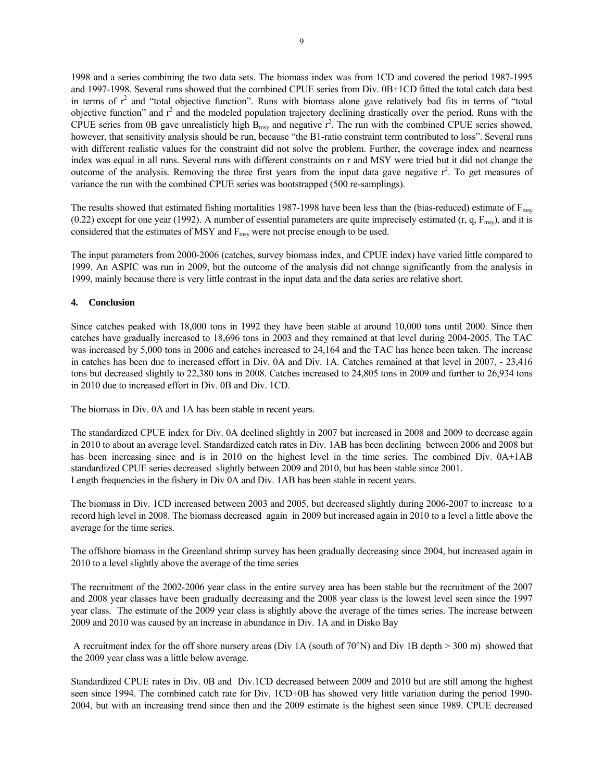1998 and a series combining the two data sets. The biomass index was from 1CD and covered the period 1987-1995 and 1997-1998. Several runs showed that the combined CPUE series from Div. 0B+1CD fitted the total catch data best in terms of  $r^2$  and "total objective function". Runs with biomass alone gave relatively bad fits in terms of "total objective function" and  $r^2$  and the modeled population trajectory declining drastically over the period. Runs with the CPUE series from 0B gave unrealisticly high  $B_{msy}$  and negative  $r^2$ . The run with the combined CPUE series showed, however, that sensitivity analysis should be run, because "the B1-ratio constraint term contributed to loss". Several runs with different realistic values for the constraint did not solve the problem. Further, the coverage index and nearness index was equal in all runs. Several runs with different constraints on r and MSY were tried but it did not change the outcome of the analysis. Removing the three first years from the input data gave negative  $r^2$ . To get measures of variance the run with the combined CPUE series was bootstrapped (500 re-samplings).

The results showed that estimated fishing mortalities 1987-1998 have been less than the (bias-reduced) estimate of F<sub>msy</sub> (0.22) except for one year (1992). A number of essential parameters are quite imprecisely estimated (r, q,  $F_{msy}$ ), and it is considered that the estimates of MSY and F<sub>msy</sub> were not precise enough to be used.

The input parameters from 2000-2006 (catches, survey biomass index, and CPUE index) have varied little compared to 1999. An ASPIC was run in 2009, but the outcome of the analysis did not change significantly from the analysis in 1999, mainly because there is very little contrast in the input data and the data series are relative short.

## **4. Conclusion**

Since catches peaked with 18,000 tons in 1992 they have been stable at around 10,000 tons until 2000. Since then catches have gradually increased to 18,696 tons in 2003 and they remained at that level during 2004-2005. The TAC was increased by 5,000 tons in 2006 and catches increased to 24,164 and the TAC has hence been taken. The increase in catches has been due to increased effort in Div. 0A and Div. 1A. Catches remained at that level in 2007, - 23,416 tons but decreased slightly to 22,380 tons in 2008. Catches increased to 24,805 tons in 2009 and further to 26,934 tons in 2010 due to increased effort in Div. 0B and Div. 1CD.

The biomass in Div. 0A and 1A has been stable in recent years.

The standardized CPUE index for Div. 0A declined slightly in 2007 but increased in 2008 and 2009 to decrease again in 2010 to about an average level. Standardized catch rates in Div. 1AB has been declining between 2006 and 2008 but has been increasing since and is in 2010 on the highest level in the time series. The combined Div. 0A+1AB standardized CPUE series decreased slightly between 2009 and 2010, but has been stable since 2001. Length frequencies in the fishery in Div 0A and Div. 1AB has been stable in recent years.

The biomass in Div. 1CD increased between 2003 and 2005, but decreased slightly during 2006-2007 to increase to a record high level in 2008. The biomass decreased again in 2009 but increased again in 2010 to a level a little above the average for the time series.

The offshore biomass in the Greenland shrimp survey has been gradually decreasing since 2004, but increased again in 2010 to a level slightly above the average of the time series

The recruitment of the 2002-2006 year class in the entire survey area has been stable but the recruitment of the 2007 and 2008 year classes have been gradually decreasing and the 2008 year class is the lowest level seen since the 1997 year class. The estimate of the 2009 year class is slightly above the average of the times series. The increase between 2009 and 2010 was caused by an increase in abundance in Div. 1A and in Disko Bay

A recruitment index for the off shore nursery areas (Div 1A (south of 70°N) and Div 1B depth  $> 300$  m) showed that the 2009 year class was a little below average.

Standardized CPUE rates in Div. 0B and Div.1CD decreased between 2009 and 2010 but are still among the highest seen since 1994. The combined catch rate for Div. 1CD+0B has showed very little variation during the period 1990- 2004, but with an increasing trend since then and the 2009 estimate is the highest seen since 1989. CPUE decreased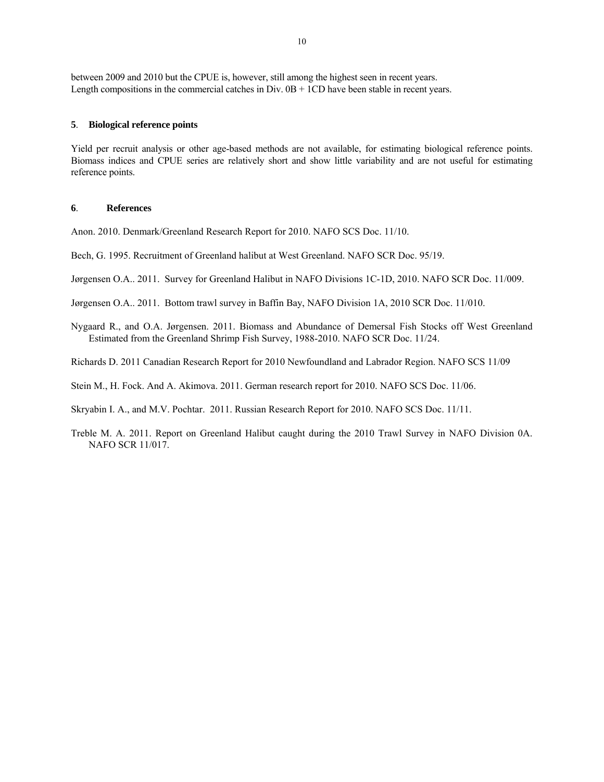between 2009 and 2010 but the CPUE is, however, still among the highest seen in recent years. Length compositions in the commercial catches in Div.  $0B + 1CD$  have been stable in recent years.

## **5**. **Biological reference points**

Yield per recruit analysis or other age-based methods are not available, for estimating biological reference points. Biomass indices and CPUE series are relatively short and show little variability and are not useful for estimating reference points.

## **6**. **References**

Anon. 2010. Denmark/Greenland Research Report for 2010. NAFO SCS Doc. 11/10.

Bech, G. 1995. Recruitment of Greenland halibut at West Greenland. NAFO SCR Doc. 95/19.

Jørgensen O.A.. 2011. Survey for Greenland Halibut in NAFO Divisions 1C-1D, 2010. NAFO SCR Doc. 11/009.

Jørgensen O.A.. 2011. Bottom trawl survey in Baffin Bay, NAFO Division 1A, 2010 SCR Doc. 11/010.

Nygaard R., and O.A. Jørgensen. 2011. Biomass and Abundance of Demersal Fish Stocks off West Greenland Estimated from the Greenland Shrimp Fish Survey, 1988-2010. NAFO SCR Doc. 11/24.

Richards D. 2011 Canadian Research Report for 2010 Newfoundland and Labrador Region. NAFO SCS 11/09

Stein M., H. Fock. And A. Akimova. 2011. German research report for 2010. NAFO SCS Doc. 11/06.

Skryabin I. A., and M.V. Pochtar. 2011. Russian Research Report for 2010. NAFO SCS Doc. 11/11.

Treble M. A. 2011. Report on Greenland Halibut caught during the 2010 Trawl Survey in NAFO Division 0A. NAFO SCR 11/017.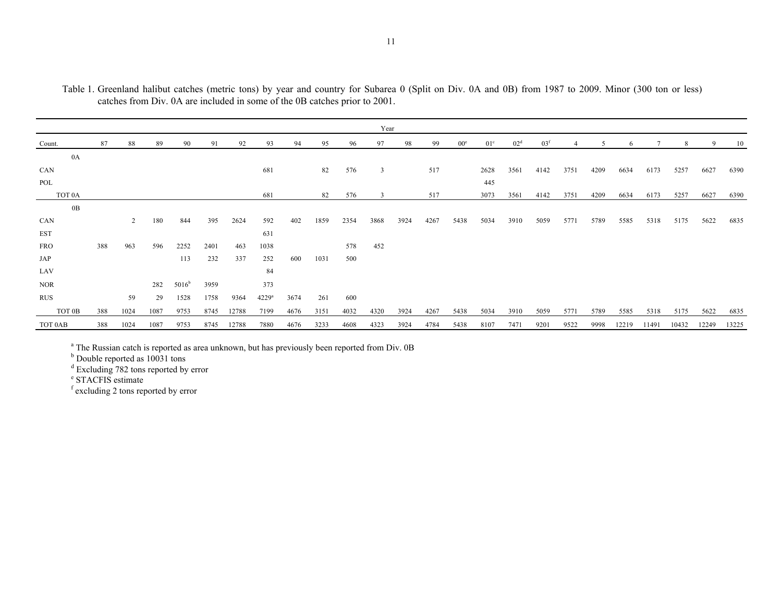|                    |     |      |      |                |      |       |                     |      |      |      | Year           |      |      |                 |                 |                 |                 |      |      |       |       |       |       |       |
|--------------------|-----|------|------|----------------|------|-------|---------------------|------|------|------|----------------|------|------|-----------------|-----------------|-----------------|-----------------|------|------|-------|-------|-------|-------|-------|
| Count.             | 87  | 88   | 89   | 90             | 91   | 92    | 93                  | 94   | 95   | 96   | 97             | 98   | 99   | 00 <sup>e</sup> | 01 <sup>c</sup> | 02 <sup>d</sup> | 03 <sup>f</sup> |      |      | 6     |       | 8     | 9     | 10    |
| 0A                 |     |      |      |                |      |       |                     |      |      |      |                |      |      |                 |                 |                 |                 |      |      |       |       |       |       |       |
| CAN                |     |      |      |                |      |       | 681                 |      | 82   | 576  | $\overline{3}$ |      | 517  |                 | 2628            | 3561            | 4142            | 3751 | 4209 | 6634  | 6173  | 5257  | 6627  | 6390  |
| POL                |     |      |      |                |      |       |                     |      |      |      |                |      |      |                 | 445             |                 |                 |      |      |       |       |       |       |       |
| TOT <sub>0</sub> A |     |      |      |                |      |       | 681                 |      | 82   | 576  | $\overline{3}$ |      | 517  |                 | 3073            | 3561            | 4142            | 3751 | 4209 | 6634  | 6173  | 5257  | 6627  | 6390  |
| 0B                 |     |      |      |                |      |       |                     |      |      |      |                |      |      |                 |                 |                 |                 |      |      |       |       |       |       |       |
| CAN                |     | 2    | 180  | 844            | 395  | 2624  | 592                 | 402  | 1859 | 2354 | 3868           | 3924 | 4267 | 5438            | 5034            | 3910            | 5059            | 5771 | 5789 | 5585  | 5318  | 5175  | 5622  | 6835  |
| <b>EST</b>         |     |      |      |                |      |       | 631                 |      |      |      |                |      |      |                 |                 |                 |                 |      |      |       |       |       |       |       |
| <b>FRO</b>         | 388 | 963  | 596  | 2252           | 2401 | 463   | 1038                |      |      | 578  | 452            |      |      |                 |                 |                 |                 |      |      |       |       |       |       |       |
| JAP                |     |      |      | 113            | 232  | 337   | 252                 | 600  | 1031 | 500  |                |      |      |                 |                 |                 |                 |      |      |       |       |       |       |       |
| LAV                |     |      |      |                |      |       | 84                  |      |      |      |                |      |      |                 |                 |                 |                 |      |      |       |       |       |       |       |
| <b>NOR</b>         |     |      | 282  | $5016^{\rm b}$ | 3959 |       | 373                 |      |      |      |                |      |      |                 |                 |                 |                 |      |      |       |       |       |       |       |
| <b>RUS</b>         |     | 59   | 29   | 1528           | 1758 | 9364  | $4229$ <sup>a</sup> | 3674 | 261  | 600  |                |      |      |                 |                 |                 |                 |      |      |       |       |       |       |       |
| TOT 0B             | 388 | 1024 | 1087 | 9753           | 8745 | 12788 | 7199                | 4676 | 3151 | 4032 | 4320           | 3924 | 4267 | 5438            | 5034            | 3910            | 5059            | 5771 | 5789 | 5585  | 5318  | 5175  | 5622  | 6835  |
| TOT 0AB            | 388 | 1024 | 1087 | 9753           | 8745 | 12788 | 7880                | 4676 | 3233 | 4608 | 4323           | 3924 | 4784 | 5438            | 8107            | 7471            | 9201            | 9522 | 9998 | 12219 | 11491 | 10432 | 12249 | 13225 |

Table 1. Greenland halibut catches (metric tons) by year and country for Subarea 0 (Split on Div. 0A and 0B) from 1987 to 2009. Minor (300 ton or less) catches from Div. 0A are included in some of the 0B catches prior to 2001.

<sup>a</sup> The Russian catch is reported as area unknown, but has previously been reported from Div. 0B

<sup>b</sup> Double reported as 10031 tons

<sup>d</sup> Excluding 782 tons reported by error

e STACFIS estimate

f excluding 2 tons reported by error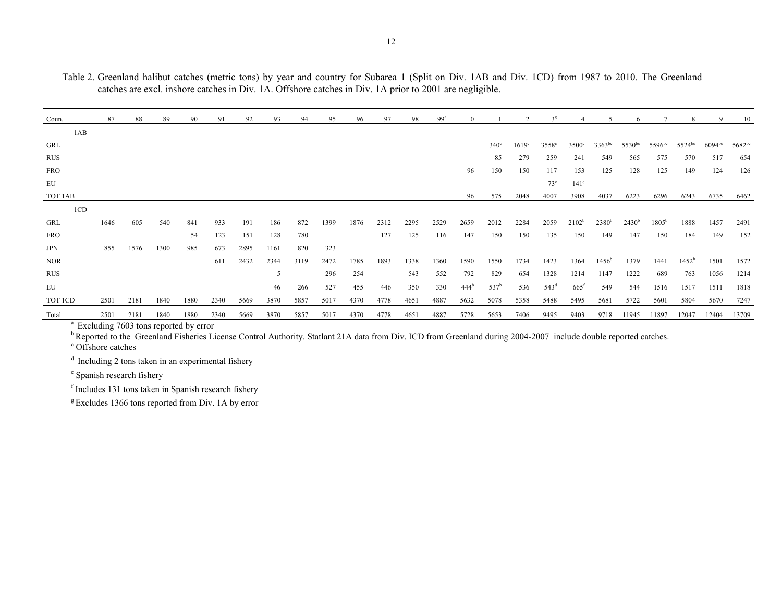Table 2. Greenland halibut catches (metric tons) by year and country for Subarea 1 (Split on Div. 1AB and Div. 1CD) from 1987 to 2010. The Greenland catches are excl. inshore catches in Div. 1A. Offshore catches in Div. 1A prior to 2001 are negligible.

| Coun.      | 87   | 88   | 89   | 90   | 91   | 92   | 93   | 94   | 95   | 96   | 97   | 98   | 99 <sup>a</sup> | $\Omega$         |                  |                   | 3 <sup>g</sup>    |                  |                |             |                | 8              | 9                  | 10          |
|------------|------|------|------|------|------|------|------|------|------|------|------|------|-----------------|------------------|------------------|-------------------|-------------------|------------------|----------------|-------------|----------------|----------------|--------------------|-------------|
| 1AB        |      |      |      |      |      |      |      |      |      |      |      |      |                 |                  |                  |                   |                   |                  |                |             |                |                |                    |             |
| GRL        |      |      |      |      |      |      |      |      |      |      |      |      |                 |                  | $340^\circ$      | 1619 <sup>c</sup> | 3558 <sup>c</sup> | $3500^{\circ}$   | $3363^{bc}$    | $5530^{bc}$ | $5596^{bc}$    | $5524^{bc}$    | 6094 <sup>bc</sup> | $5682^{bc}$ |
| <b>RUS</b> |      |      |      |      |      |      |      |      |      |      |      |      |                 |                  | 85               | 279               | 259               | 241              | 549            | 565         | 575            | 570            | 517                | 654         |
| <b>FRO</b> |      |      |      |      |      |      |      |      |      |      |      |      |                 | 96               | 150              | 150               | 117               | 153              | 125            | 128         | 125            | 149            | 124                | 126         |
| EU         |      |      |      |      |      |      |      |      |      |      |      |      |                 |                  |                  |                   | $73^e$            | 141 <sup>e</sup> |                |             |                |                |                    |             |
| TOT 1AB    |      |      |      |      |      |      |      |      |      |      |      |      |                 | 96               | 575              | 2048              | 4007              | 3908             | 4037           | 6223        | 6296           | 6243           | 6735               | 6462        |
| 1CD        |      |      |      |      |      |      |      |      |      |      |      |      |                 |                  |                  |                   |                   |                  |                |             |                |                |                    |             |
| GRL        | 1646 | 605  | 540  | 841  | 933  | 191  | 186  | 872  | 1399 | 1876 | 2312 | 2295 | 2529            | 2659             | 2012             | 2284              | 2059              | $2102^b$         | $2380^{b}$     | $2430^{b}$  | $1805^{\rm b}$ | 1888           | 1457               | 2491        |
| <b>FRO</b> |      |      |      | 54   | 123  | 151  | 128  | 780  |      |      | 127  | 125  | 116             | 147              | 150              | 150               | 135               | 150              | 149            | 147         | 150            | 184            | 149                | 152         |
| JPN        | 855  | 1576 | 1300 | 985  | 673  | 2895 | 1161 | 820  | 323  |      |      |      |                 |                  |                  |                   |                   |                  |                |             |                |                |                    |             |
| <b>NOR</b> |      |      |      |      | 611  | 2432 | 2344 | 3119 | 2472 | 1785 | 1893 | 1338 | 1360            | 1590             | 1550             | 1734              | 1423              | 1364             | $1456^{\rm b}$ | 1379        | 1441           | $1452^{\rm b}$ | 1501               | 1572        |
| <b>RUS</b> |      |      |      |      |      |      | 5    |      | 296  | 254  |      | 543  | 552             | 792              | 829              | 654               | 1328              | 1214             | 1147           | 1222        | 689            | 763            | 1056               | 1214        |
| EU         |      |      |      |      |      |      | 46   | 266  | 527  | 455  | 446  | 350  | 330             | 444 <sup>b</sup> | 537 <sup>b</sup> | 536               | 543 <sup>d</sup>  | $665^{\rm f}$    | 549            | 544         | 1516           | 1517           | 1511               | 1818        |
| TOT ICD    | 2501 | 2181 | 1840 | 1880 | 2340 | 5669 | 3870 | 5857 | 5017 | 4370 | 4778 | 4651 | 4887            | 5632             | 5078             | 5358              | 5488              | 5495             | 5681           | 5722        | 5601           | 5804           | 5670               | 7247        |
| Total      | 2501 | 2181 | 1840 | 1880 | 2340 | 5669 | 3870 | 5857 | 5017 | 4370 | 4778 | 4651 | 4887            | 5728             | 5653             | 7406              | 9495              | 9403             | 9718           | 11945       | 11897          | 12047          | 12404              | 13709       |

<sup>a</sup> Excluding 7603 tons reported by error

b Reported to the Greenland Fisheries License Control Authority. Statlant 21A data from Div. ICD from Greenland during 2004-2007 include double reported catches. <sup>c</sup> Offshore catches

d Including 2 tons taken in an experimental fishery

e Spanish research fishery

f Includes 131 tons taken in Spanish research fishery

 $g$  Excludes 1366 tons reported from Div. 1A by error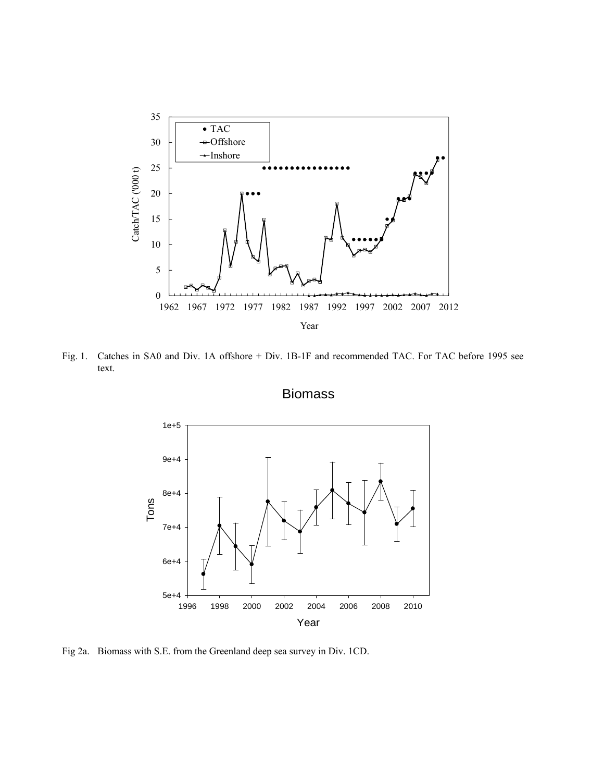

Fig. 1. Catches in SA0 and Div. 1A offshore + Div. 1B-1F and recommended TAC. For TAC before 1995 see text.

Biomass



Fig 2a. Biomass with S.E. from the Greenland deep sea survey in Div. 1CD.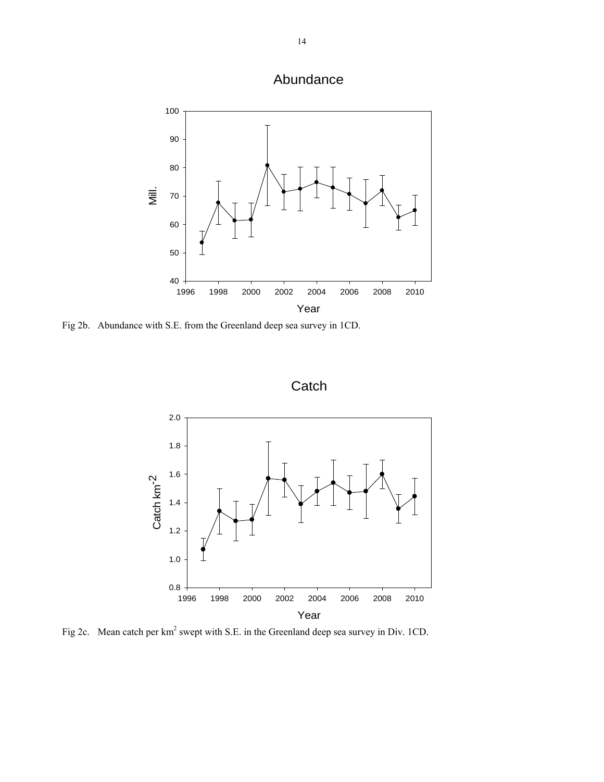



Fig 2b. Abundance with S.E. from the Greenland deep sea survey in 1CD.





Fig 2c. Mean catch per  $km^2$  swept with S.E. in the Greenland deep sea survey in Div. 1CD.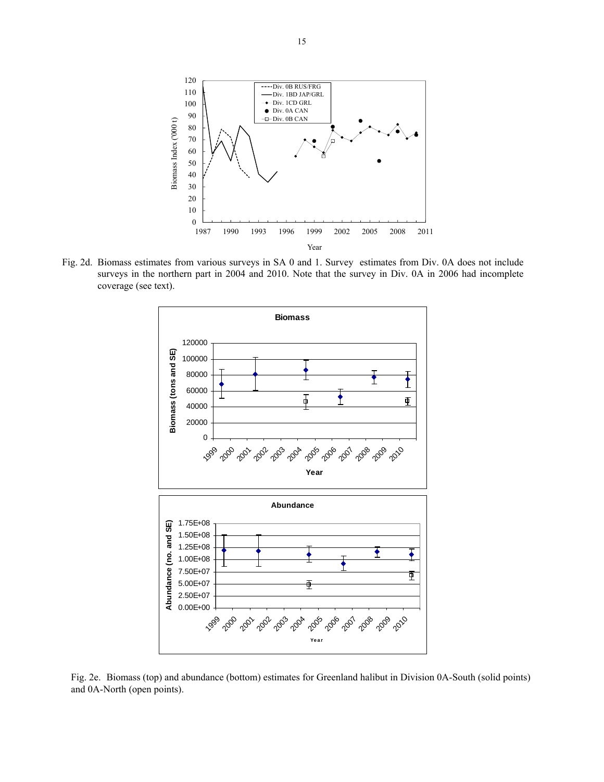

Fig. 2d. Biomass estimates from various surveys in SA 0 and 1. Survey estimates from Div. 0A does not include surveys in the northern part in 2004 and 2010. Note that the survey in Div. 0A in 2006 had incomplete coverage (see text).



Fig. 2e. Biomass (top) and abundance (bottom) estimates for Greenland halibut in Division 0A-South (solid points) and 0A-North (open points).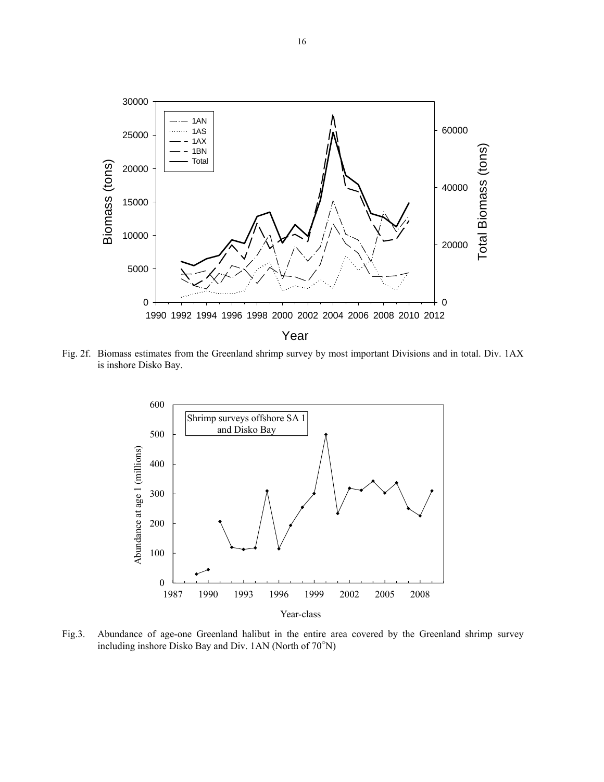

Fig. 2f. Biomass estimates from the Greenland shrimp survey by most important Divisions and in total. Div. 1AX is inshore Disko Bay.



Fig.3. Abundance of age-one Greenland halibut in the entire area covered by the Greenland shrimp survey including inshore Disko Bay and Div. 1AN (North of 70○ N)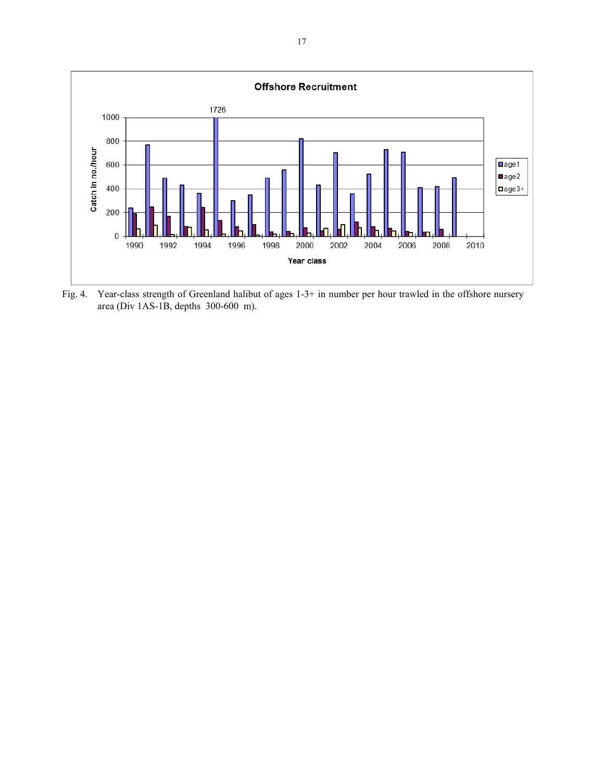

Fig. 4. Year-class strength of Greenland halibut of ages 1-3+ in number per hour trawled in the offshore nursery area (Div 1AS-1B, depths 300-600 m).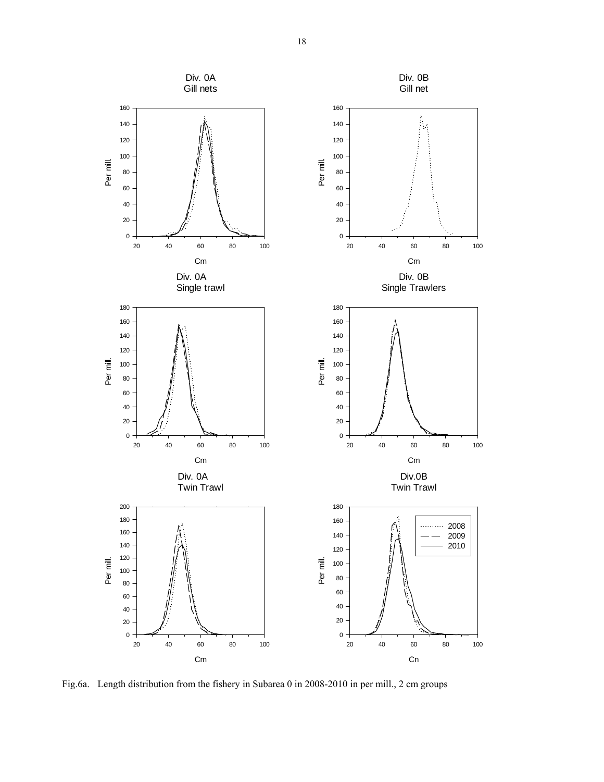

Fig.6a. Length distribution from the fishery in Subarea 0 in 2008-2010 in per mill., 2 cm groups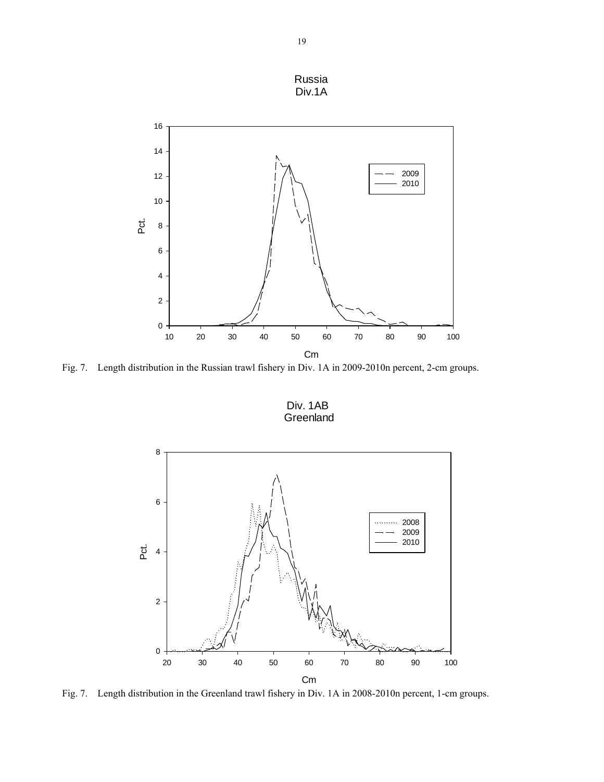

Fig. 7. Length distribution in the Russian trawl fishery in Div. 1A in 2009-2010n percent, 2-cm groups.

Div. 1AB Greenland



Fig. 7. Length distribution in the Greenland trawl fishery in Div. 1A in 2008-2010n percent, 1-cm groups.

Russia Div.1A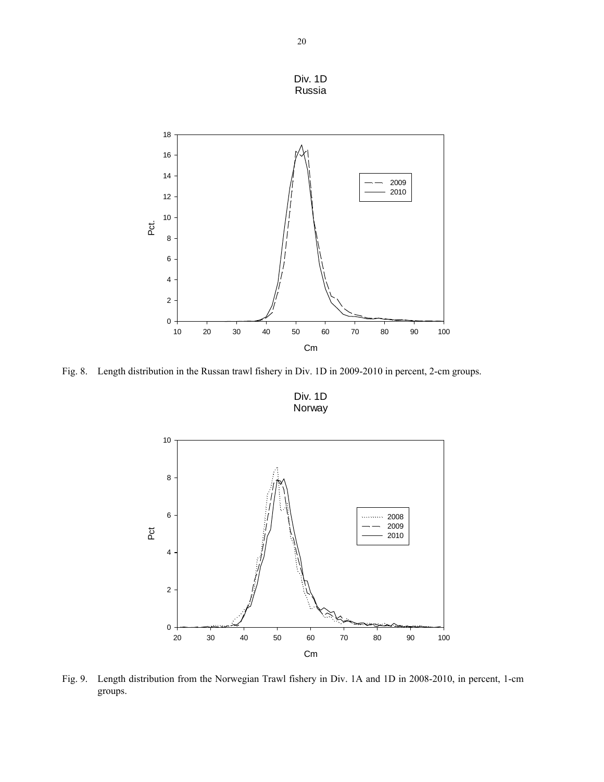

Fig. 8. Length distribution in the Russan trawl fishery in Div. 1D in 2009-2010 in percent, 2-cm groups.

Div. 1D Norway



Fig. 9. Length distribution from the Norwegian Trawl fishery in Div. 1A and 1D in 2008-2010, in percent, 1-cm groups.

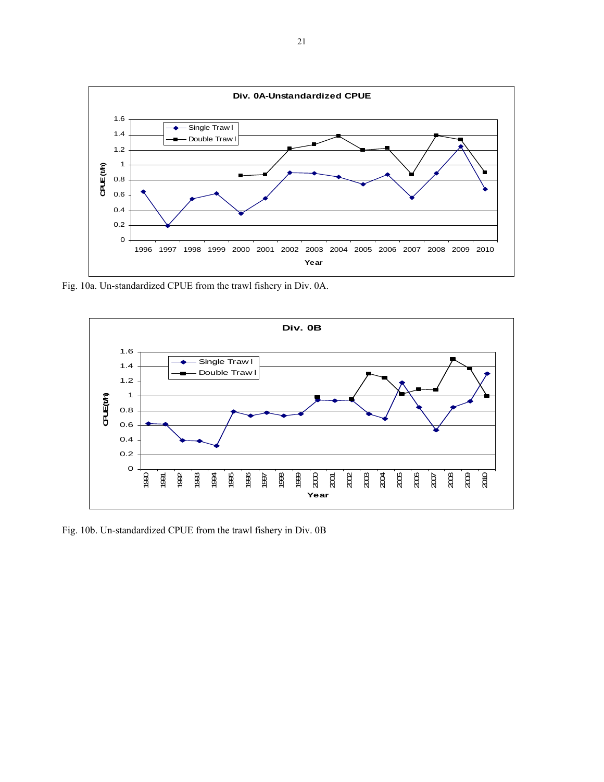

Fig. 10a. Un-standardized CPUE from the trawl fishery in Div. 0A.



Fig. 10b. Un-standardized CPUE from the trawl fishery in Div. 0B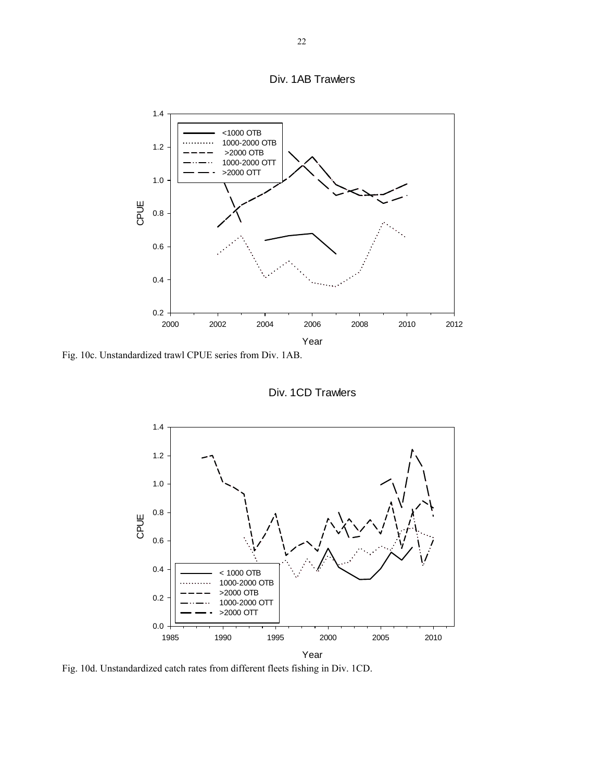



Fig. 10c. Unstandardized trawl CPUE series from Div. 1AB.

Div. 1CD Trawlers



Fig. 10d. Unstandardized catch rates from different fleets fishing in Div. 1CD.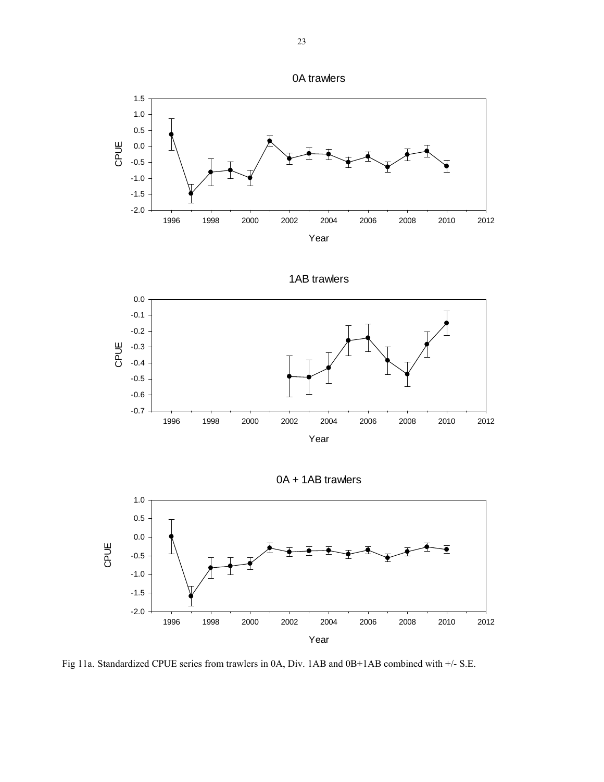







0A + 1AB trawlers



Fig 11a. Standardized CPUE series from trawlers in 0A, Div. 1AB and 0B+1AB combined with +/- S.E.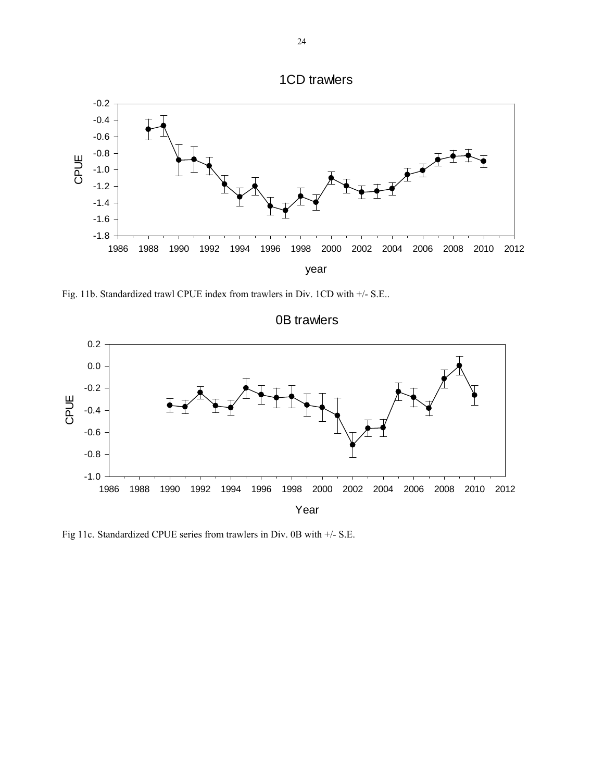



Fig. 11b. Standardized trawl CPUE index from trawlers in Div. 1CD with +/- S.E..



Fig 11c. Standardized CPUE series from trawlers in Div. 0B with +/- S.E.

0B trawlers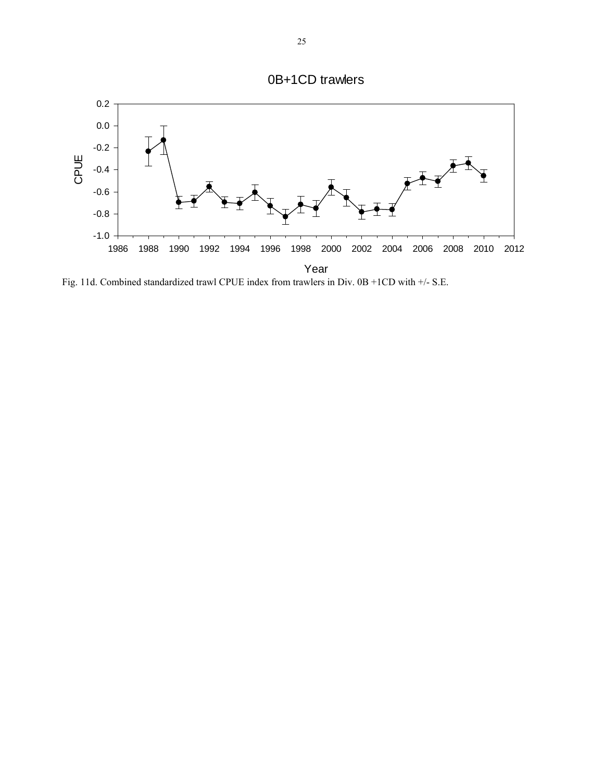

Fig. 11d. Combined standardized trawl CPUE index from trawlers in Div. 0B +1CD with +/- S.E.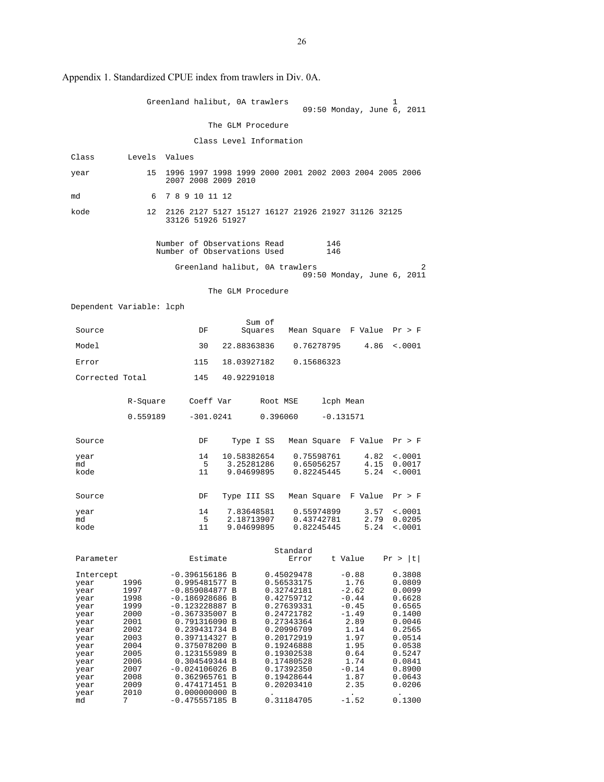|                                                                                                                           |          |                                                                               |                                                                                                                                                                                                                                                                                                                                                                                    |                                                                                                                                                                          |                                                                                                                                                                                                                                                                                                                                                                                                                                                                                                  |                                                                                                              | ı                                                                                                                                                                                                        |                                                                                                                                                                                                                                                                                                                                 |
|---------------------------------------------------------------------------------------------------------------------------|----------|-------------------------------------------------------------------------------|------------------------------------------------------------------------------------------------------------------------------------------------------------------------------------------------------------------------------------------------------------------------------------------------------------------------------------------------------------------------------------|--------------------------------------------------------------------------------------------------------------------------------------------------------------------------|--------------------------------------------------------------------------------------------------------------------------------------------------------------------------------------------------------------------------------------------------------------------------------------------------------------------------------------------------------------------------------------------------------------------------------------------------------------------------------------------------|--------------------------------------------------------------------------------------------------------------|----------------------------------------------------------------------------------------------------------------------------------------------------------------------------------------------------------|---------------------------------------------------------------------------------------------------------------------------------------------------------------------------------------------------------------------------------------------------------------------------------------------------------------------------------|
|                                                                                                                           |          |                                                                               |                                                                                                                                                                                                                                                                                                                                                                                    |                                                                                                                                                                          |                                                                                                                                                                                                                                                                                                                                                                                                                                                                                                  |                                                                                                              |                                                                                                                                                                                                          |                                                                                                                                                                                                                                                                                                                                 |
|                                                                                                                           |          |                                                                               |                                                                                                                                                                                                                                                                                                                                                                                    |                                                                                                                                                                          |                                                                                                                                                                                                                                                                                                                                                                                                                                                                                                  |                                                                                                              |                                                                                                                                                                                                          |                                                                                                                                                                                                                                                                                                                                 |
|                                                                                                                           |          |                                                                               |                                                                                                                                                                                                                                                                                                                                                                                    |                                                                                                                                                                          |                                                                                                                                                                                                                                                                                                                                                                                                                                                                                                  |                                                                                                              |                                                                                                                                                                                                          |                                                                                                                                                                                                                                                                                                                                 |
| 15                                                                                                                        |          |                                                                               |                                                                                                                                                                                                                                                                                                                                                                                    |                                                                                                                                                                          |                                                                                                                                                                                                                                                                                                                                                                                                                                                                                                  |                                                                                                              |                                                                                                                                                                                                          |                                                                                                                                                                                                                                                                                                                                 |
| 6                                                                                                                         |          |                                                                               |                                                                                                                                                                                                                                                                                                                                                                                    |                                                                                                                                                                          |                                                                                                                                                                                                                                                                                                                                                                                                                                                                                                  |                                                                                                              |                                                                                                                                                                                                          |                                                                                                                                                                                                                                                                                                                                 |
| 12 <sup>°</sup>                                                                                                           |          |                                                                               |                                                                                                                                                                                                                                                                                                                                                                                    |                                                                                                                                                                          |                                                                                                                                                                                                                                                                                                                                                                                                                                                                                                  |                                                                                                              |                                                                                                                                                                                                          |                                                                                                                                                                                                                                                                                                                                 |
|                                                                                                                           |          |                                                                               |                                                                                                                                                                                                                                                                                                                                                                                    |                                                                                                                                                                          | 146<br>146                                                                                                                                                                                                                                                                                                                                                                                                                                                                                       |                                                                                                              |                                                                                                                                                                                                          |                                                                                                                                                                                                                                                                                                                                 |
|                                                                                                                           |          |                                                                               |                                                                                                                                                                                                                                                                                                                                                                                    |                                                                                                                                                                          |                                                                                                                                                                                                                                                                                                                                                                                                                                                                                                  |                                                                                                              |                                                                                                                                                                                                          |                                                                                                                                                                                                                                                                                                                                 |
|                                                                                                                           |          |                                                                               |                                                                                                                                                                                                                                                                                                                                                                                    |                                                                                                                                                                          |                                                                                                                                                                                                                                                                                                                                                                                                                                                                                                  |                                                                                                              |                                                                                                                                                                                                          |                                                                                                                                                                                                                                                                                                                                 |
|                                                                                                                           |          |                                                                               |                                                                                                                                                                                                                                                                                                                                                                                    |                                                                                                                                                                          |                                                                                                                                                                                                                                                                                                                                                                                                                                                                                                  |                                                                                                              |                                                                                                                                                                                                          |                                                                                                                                                                                                                                                                                                                                 |
|                                                                                                                           | DF       |                                                                               |                                                                                                                                                                                                                                                                                                                                                                                    |                                                                                                                                                                          |                                                                                                                                                                                                                                                                                                                                                                                                                                                                                                  |                                                                                                              |                                                                                                                                                                                                          |                                                                                                                                                                                                                                                                                                                                 |
|                                                                                                                           | 30       |                                                                               |                                                                                                                                                                                                                                                                                                                                                                                    |                                                                                                                                                                          |                                                                                                                                                                                                                                                                                                                                                                                                                                                                                                  |                                                                                                              | < .0001                                                                                                                                                                                                  |                                                                                                                                                                                                                                                                                                                                 |
|                                                                                                                           | 115      |                                                                               |                                                                                                                                                                                                                                                                                                                                                                                    |                                                                                                                                                                          |                                                                                                                                                                                                                                                                                                                                                                                                                                                                                                  |                                                                                                              |                                                                                                                                                                                                          |                                                                                                                                                                                                                                                                                                                                 |
| Corrected Total                                                                                                           | 145      |                                                                               |                                                                                                                                                                                                                                                                                                                                                                                    |                                                                                                                                                                          |                                                                                                                                                                                                                                                                                                                                                                                                                                                                                                  |                                                                                                              |                                                                                                                                                                                                          |                                                                                                                                                                                                                                                                                                                                 |
|                                                                                                                           |          |                                                                               |                                                                                                                                                                                                                                                                                                                                                                                    |                                                                                                                                                                          |                                                                                                                                                                                                                                                                                                                                                                                                                                                                                                  |                                                                                                              |                                                                                                                                                                                                          |                                                                                                                                                                                                                                                                                                                                 |
|                                                                                                                           |          |                                                                               |                                                                                                                                                                                                                                                                                                                                                                                    |                                                                                                                                                                          |                                                                                                                                                                                                                                                                                                                                                                                                                                                                                                  |                                                                                                              |                                                                                                                                                                                                          |                                                                                                                                                                                                                                                                                                                                 |
|                                                                                                                           | DF       |                                                                               |                                                                                                                                                                                                                                                                                                                                                                                    |                                                                                                                                                                          |                                                                                                                                                                                                                                                                                                                                                                                                                                                                                                  |                                                                                                              |                                                                                                                                                                                                          |                                                                                                                                                                                                                                                                                                                                 |
|                                                                                                                           | 14       |                                                                               |                                                                                                                                                                                                                                                                                                                                                                                    |                                                                                                                                                                          |                                                                                                                                                                                                                                                                                                                                                                                                                                                                                                  | 4.82                                                                                                         | < .0001                                                                                                                                                                                                  |                                                                                                                                                                                                                                                                                                                                 |
|                                                                                                                           | 11       |                                                                               |                                                                                                                                                                                                                                                                                                                                                                                    |                                                                                                                                                                          |                                                                                                                                                                                                                                                                                                                                                                                                                                                                                                  |                                                                                                              | < .0001                                                                                                                                                                                                  |                                                                                                                                                                                                                                                                                                                                 |
|                                                                                                                           | DF       |                                                                               |                                                                                                                                                                                                                                                                                                                                                                                    |                                                                                                                                                                          |                                                                                                                                                                                                                                                                                                                                                                                                                                                                                                  |                                                                                                              | Pr > F                                                                                                                                                                                                   |                                                                                                                                                                                                                                                                                                                                 |
|                                                                                                                           | 14<br>-5 |                                                                               |                                                                                                                                                                                                                                                                                                                                                                                    |                                                                                                                                                                          |                                                                                                                                                                                                                                                                                                                                                                                                                                                                                                  | 3.57                                                                                                         | < .0001<br>0.0205                                                                                                                                                                                        |                                                                                                                                                                                                                                                                                                                                 |
|                                                                                                                           |          |                                                                               |                                                                                                                                                                                                                                                                                                                                                                                    |                                                                                                                                                                          |                                                                                                                                                                                                                                                                                                                                                                                                                                                                                                  |                                                                                                              |                                                                                                                                                                                                          |                                                                                                                                                                                                                                                                                                                                 |
|                                                                                                                           |          |                                                                               |                                                                                                                                                                                                                                                                                                                                                                                    | Error                                                                                                                                                                    |                                                                                                                                                                                                                                                                                                                                                                                                                                                                                                  |                                                                                                              |                                                                                                                                                                                                          |                                                                                                                                                                                                                                                                                                                                 |
| 1996<br>1997<br>1998<br>1999<br>2000<br>2001<br>2002<br>2003<br>2004<br>2005<br>2006<br>2007<br>2008<br>2009<br>2010<br>7 |          |                                                                               |                                                                                                                                                                                                                                                                                                                                                                                    |                                                                                                                                                                          |                                                                                                                                                                                                                                                                                                                                                                                                                                                                                                  | $\bullet$                                                                                                    | 0.3808<br>0.0809<br>0.0099<br>0.6628<br>0.6565<br>0.1400<br>0.0046<br>0.2565<br>0.0514<br>0.0538<br>0.5247<br>0.0841<br>0.8900<br>0.0643<br>0.0206<br>0.1300                                             |                                                                                                                                                                                                                                                                                                                                 |
|                                                                                                                           |          | Levels Values<br>Dependent Variable: lcph<br>R-Square<br>0.559189<br>-5<br>11 | 7 8 9 10 11 12<br>33126 51926 51927<br>-301.0241<br>Estimate<br>$-0.396156186$ B<br>0.995481577 B<br>$-0.859084877 B$<br>$-0.186928686$ B<br>$-0.123228887 B$<br>$-0.367335007$ B<br>0.791316090 B<br>0.239431734 B<br>0.397114327 B<br>0.375078200 B<br>0.123155989 B<br>0.304549344 B<br>$-0.024106026$ B<br>0.362965761 B<br>0.474171451 B<br>0.000000000 B<br>$-0.475557185 B$ | 2007 2008 2009 2010<br>Sum of<br>Squares<br>18.03927182<br>40.92291018<br>Type I SS<br>10.58382654<br>3.25281286<br>9.04699895<br>7.83648581<br>2.18713907<br>9.04699895 | Greenland halibut, 0A trawlers<br>The GLM Procedure<br>Class Level Information<br>Number of Observations Read<br>Number of Observations Used<br>Greenland halibut, 0A trawlers<br>The GLM Procedure<br>22.88363836<br>Coeff Var Root MSE<br>0.396060<br>Standard<br>0.45029478<br>0.56533175<br>0.32742181<br>0.42759712<br>0.27639331<br>0.24721782<br>0.27343364<br>0.20996709<br>0.20172919<br>0.19246888<br>0.19302538<br>0.17480528<br>0.17392350<br>0.19428644<br>0.20203410<br>0.31184705 | 0.76278795<br>0.15686323<br>0.75598761<br>0.65056257<br>0.82245445<br>0.55974899<br>0.43742781<br>0.82245445 | lcph Mean<br>$-0.131571$<br>4.15<br>5.24<br>t Value<br>$-0.88$<br>1.76<br>$-2.62$<br>$-0.44$<br>$-0.45$<br>$-1.49$<br>2.89<br>1.14<br>1.97<br>1.95<br>0.64<br>1.74<br>$-0.14$<br>1.87<br>2.35<br>$-1.52$ | 09:50 Monday, June 6, 2011<br>1996 1997 1998 1999 2000 2001 2002 2003 2004 2005 2006<br>2126 2127 5127 15127 16127 21926 21927 31126 32125<br>09:50 Monday, June 6, 2011<br>Mean Square F Value Pr > F<br>4.86<br>Mean Square F Value Pr > F<br>0.0017<br>5.24<br>Type III SS Mean Square F Value<br>2.79<br>< .0001<br>Pr >  t |

Appendix 1. Standardized CPUE index from trawlers in Div. 0A.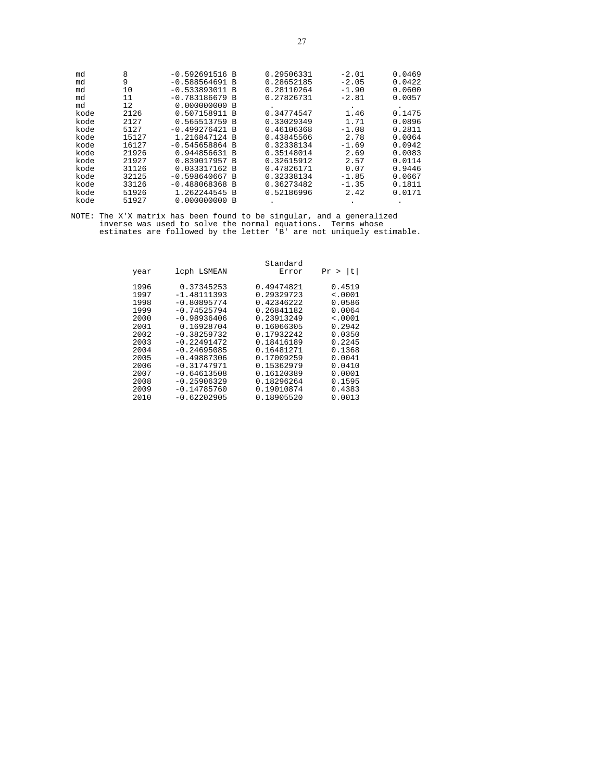| md<br>md<br>md<br>md | 8<br>9<br>10<br>11 | $-0.592691516 B$<br>$-0.588564691$<br>$-0.533893011$<br>$-0.783186679 B$ | <b>B</b><br>B | 0.29506331<br>0.28652185<br>0.28110264<br>0.27826731 | $-2.01$<br>$-2.05$<br>$-1.90$<br>$-2.81$ | 0.0469<br>0.0422<br>0.0600<br>0.0057 |
|----------------------|--------------------|--------------------------------------------------------------------------|---------------|------------------------------------------------------|------------------------------------------|--------------------------------------|
| md                   | 12                 | $0.000000000$ B                                                          |               |                                                      |                                          |                                      |
| kode                 | 2126               | 0.507158911                                                              | B             | 0.34774547                                           | 1.46                                     | 0.1475                               |
| kode                 | 2127               | 0.565513759                                                              | B             | 0.33029349                                           | 1.71                                     | 0.0896                               |
| kode                 | 5127               | $-0.499276421 B$                                                         |               | 0.46106368                                           | $-1.08$                                  | 0.2811                               |
| kode                 | 15127              | 1.216847124 B                                                            |               | 0.43845566                                           | 2.78                                     | 0.0064                               |
| kode                 | 16127              | $-0.545658864$                                                           | B             | 0.32338134                                           | $-1.69$                                  | 0.0942                               |
| kode                 | 21926              | 0.944856631 B                                                            |               | 0.35148014                                           | 2.69                                     | 0.0083                               |
| kode                 | 21927              | 0.839017957 B                                                            |               | 0.32615912                                           | 2.57                                     | 0.0114                               |
| kode                 | 31126              | 0.033317162                                                              | <b>B</b>      | 0.47826171                                           | 0.07                                     | 0.9446                               |
| kode                 | 32125              | $-0.598640667 B$                                                         |               | 0.32338134                                           | $-1.85$                                  | 0.0667                               |
| kode                 | 33126              | $-0.488068368$ B                                                         |               | 0.36273482                                           | $-1.35$                                  | 0.1811                               |
| kode                 | 51926              | 1.262244545                                                              | B             | 0.52186996                                           | 2.42                                     | 0.0171                               |
| kode                 | 51927              | 0.000000000                                                              | B             |                                                      |                                          |                                      |

|              |                             | Standard                 |                    |
|--------------|-----------------------------|--------------------------|--------------------|
| year         | lcph LSMEAN                 | Error                    | t <br>Pr<br>$\geq$ |
| 1996<br>1997 | 0.37345253<br>$-1.48111393$ | 0.49474821<br>0.29329723 | 0.4519<br>< .0001  |
| 1998         | $-0.80895774$               | 0.42346222               | 0.0586             |
| 1999         | $-0.74525794$               | 0.26841182               | 0.0064             |
| 2000         | $-0.98936406$               | 0.23913249               | < .0001            |
| 2001         | 0.16928704                  | 0.16066305               | 0.2942             |
| 2002         | $-0.38259732$               | 0.17932242               | 0.0350             |
| 2003         | $-0.22491472$               | 0.18416189               | 0.2245             |
| 2004         | $-0.24695085$               | 0.16481271               | 0.1368             |
| 2005         | $-0.49887306$               | 0.17009259               | 0.0041             |
| 2006         | $-0.31747971$               | 0.15362979               | 0.0410             |
| 2007         | $-0.64613508$               | 0.16120389               | 0.0001             |
| 2008         | $-0.25906329$               | 0.18296264               | 0.1595             |
| 2009         | $-0.14785760$               | 0.19010874               | 0.4383             |
| 2010         | $-0.62202905$               | 0.18905520               | 0.0013             |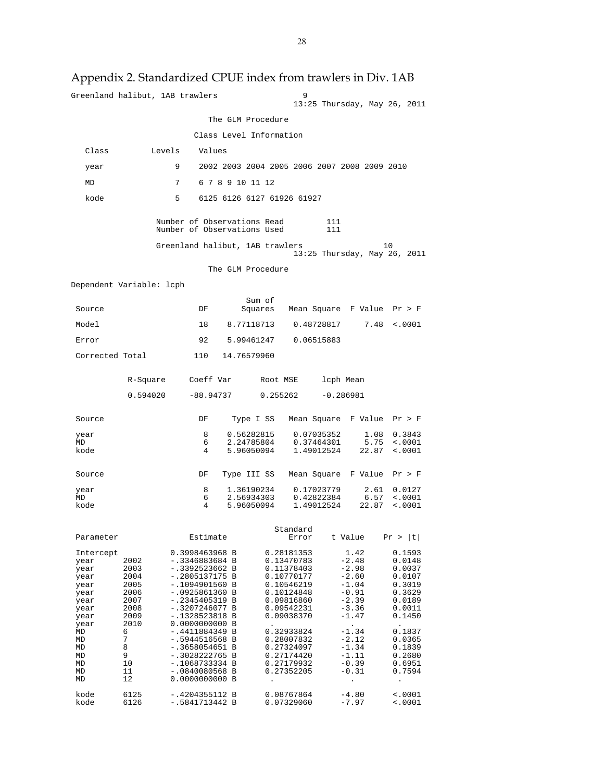|                          |              | Greenland halibut, 1AB trawlers                            |                          | 9                                            | 13:25 Thursday, May 26, 2011               |                            |
|--------------------------|--------------|------------------------------------------------------------|--------------------------|----------------------------------------------|--------------------------------------------|----------------------------|
|                          |              |                                                            | The GLM Procedure        |                                              |                                            |                            |
|                          |              |                                                            | Class Level Information  |                                              |                                            |                            |
| Class                    | Levels       | Values                                                     |                          |                                              |                                            |                            |
| year                     |              | 9                                                          |                          | 2002 2003 2004 2005 2006 2007 2008 2009 2010 |                                            |                            |
| MD                       |              | 7                                                          | 6 7 8 9 10 11 12         |                                              |                                            |                            |
| kode                     |              | 5                                                          |                          | 6125 6126 6127 61926 61927                   |                                            |                            |
|                          |              | Number of Observations Read<br>Number of Observations Used |                          |                                              | 111<br>111                                 |                            |
|                          |              | Greenland halibut, 1AB trawlers                            |                          |                                              | 13:25 Thursday, May 26, 2011               | 10                         |
|                          |              |                                                            | The GLM Procedure        |                                              |                                            |                            |
| Dependent Variable: lcph |              |                                                            |                          |                                              |                                            |                            |
|                          |              |                                                            | Sum of                   |                                              |                                            |                            |
| Source                   |              | DF                                                         |                          | Squares Mean Square F Value Pr > F           |                                            |                            |
| Model                    |              | 18                                                         |                          | 8.77118713   0.48728817                      | 7.48                                       | < .0001                    |
| Error                    |              | 92                                                         |                          | 5.99461247 0.06515883                        |                                            |                            |
| Corrected Total          |              |                                                            | 110 14.76579960          |                                              |                                            |                            |
|                          | R-Square     | Coeff Var                                                  |                          | Root MSE                                     | lcph Mean                                  |                            |
|                          | 0.594020     |                                                            |                          | $-88.94737$ 0.255262                         | $-0.286981$                                |                            |
| Source                   |              | DF                                                         | Type I SS                |                                              | Mean Square F Value Pr > F                 |                            |
| year<br>MD               |              | 8<br>6                                                     | 0.56282815<br>2.24785804 | 0.07035352<br>0.37464301                     | 1.08<br>5.75                               | 0.3843<br>< .0001          |
| kode                     |              | 4                                                          | 5.96050094               | 1.49012524                                   | 22.87                                      | < .0001                    |
| Source                   |              | DF                                                         |                          | Type III SS Mean Square F Value Pr > F       |                                            |                            |
| year<br>MD               |              | 8<br>6                                                     | 2.56934303               | 1.36190234 0.17023779<br>0.42822384          | 2.61                                       | 0.0127<br>$6.57$ <.0001    |
| kode                     |              | 4                                                          | 5.96050094               | 1.49012524                                   | 22.87                                      | < .0001                    |
| Parameter                |              | Estimate                                                   |                          | Standard<br>Error                            | t Value                                    | Pr >  t                    |
| Intercept                |              | 0.3998463968 B                                             |                          | 0.28181353                                   | 1.42                                       | 0.1593                     |
| year<br>year             | 2002<br>2003 | -.3346883684 B<br>-.3392523662 B                           |                          | 0.13470783<br>0.11378403                     | $-2.48$<br>$-2.98$                         | 0.0148<br>0.0037           |
| year<br>year             | 2004<br>2005 | -.2805137175 B<br>$-.1094901560 B$                         |                          | 0.10770177<br>0.10546219                     | $-2.60$<br>$-1.04$                         | 0.0107<br>0.3019           |
| year<br>year             | 2006<br>2007 | $-.0925861360 B$<br>-.2345405319 B                         |                          | 0.10124848<br>0.09816860                     | $-0.91$<br>$-2.39$                         | 0.3629<br>0.0189           |
| year                     | 2008         | -.3207246077 B                                             |                          | 0.09542231                                   | $-3.36$                                    | 0.0011                     |
| year<br>year             | 2009<br>2010 | $-.1328523818 B$<br>0.0000000000 B                         |                          | 0.09038370                                   | $-1.47$<br>$\ddot{\phantom{0}}$<br>$-1.34$ | 0.1450                     |
| MD<br>MD                 | 6<br>7       | -.4411884349 B<br>-.5944516568 B                           |                          | 0.32933824<br>0.28007832                     | $-2.12$                                    | 0.1837<br>0.0365           |
| MD<br>MD                 | 8<br>9       | -.3658054651 B<br>-.3028222765 B                           |                          | 0.27324097<br>0.27174420                     | $-1.34$<br>$-1.11$                         | 0.1839<br>0.2680           |
| MD<br>MD                 | 10<br>11     | -.1068733334 B<br>-.0840080568 B                           |                          | 0.27179932<br>0.27352205                     | $-0.39$<br>$-0.31$                         | 0.6951<br>0.7594           |
| МD                       | 12           | 0.0000000000 B                                             |                          | $\ddot{\phantom{0}}$                         |                                            |                            |
| kode<br>kode             | 6125<br>6126 | $-.4204355112 B$<br>-.5841713442 B                         |                          | 0.08767864<br>0.07329060                     | $-4.80$<br>$-7.97$                         | $\sim 0001$<br>$\sim 0001$ |
|                          |              |                                                            |                          |                                              |                                            |                            |

# Appendix 2. Standardized CPUE index from trawlers in Div. 1AB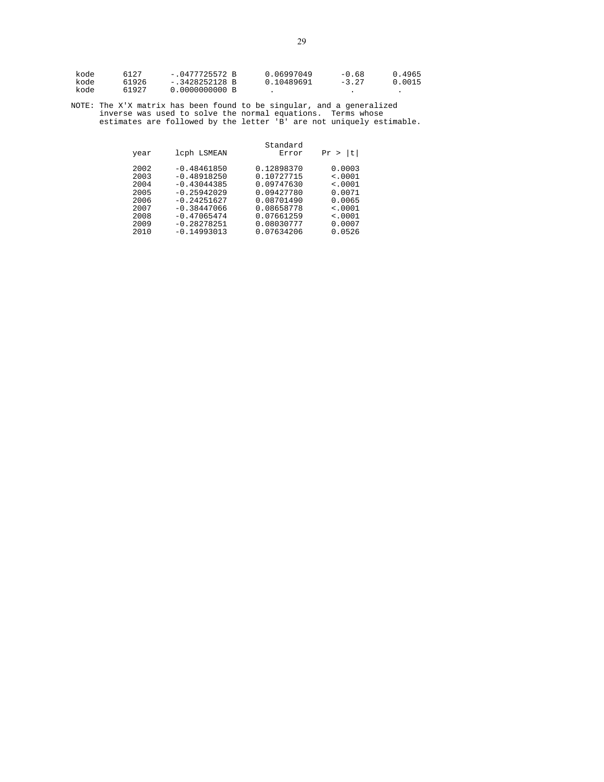| kode | 6127  | $-.0477725572 B$ | 0.06997049 | $-0.68$ | 0.4965 |
|------|-------|------------------|------------|---------|--------|
| kode | 61926 | $-.3428252128$ B | 0.10489691 | $-3.27$ | 0.0015 |
| kode | 61927 | 0.0000000000 B   |            |         |        |

| year                                                                 | lcph LSMEAN                                                                                                                                           | Standard<br>Error                                                                                                          | t<br>Pr                                                                                                |
|----------------------------------------------------------------------|-------------------------------------------------------------------------------------------------------------------------------------------------------|----------------------------------------------------------------------------------------------------------------------------|--------------------------------------------------------------------------------------------------------|
| 2002<br>2003<br>2004<br>2005<br>2006<br>2007<br>2008<br>2009<br>2010 | $-0.48461850$<br>$-0.48918250$<br>$-0.43044385$<br>$-0.25942029$<br>$-0.24251627$<br>$-0.38447066$<br>$-0.47065474$<br>$-0.28278251$<br>$-0.14993013$ | 0.12898370<br>0.10727715<br>0.09747630<br>0.09427780<br>0.08701490<br>0.08658778<br>0.07661259<br>0.08030777<br>0.07634206 | 0.0003<br>$\leq 0001$<br>$\leq 0001$<br>0.0071<br>0.0065<br>$\leq 0001$<br>< .0001<br>0.0007<br>0.0526 |
|                                                                      |                                                                                                                                                       |                                                                                                                            |                                                                                                        |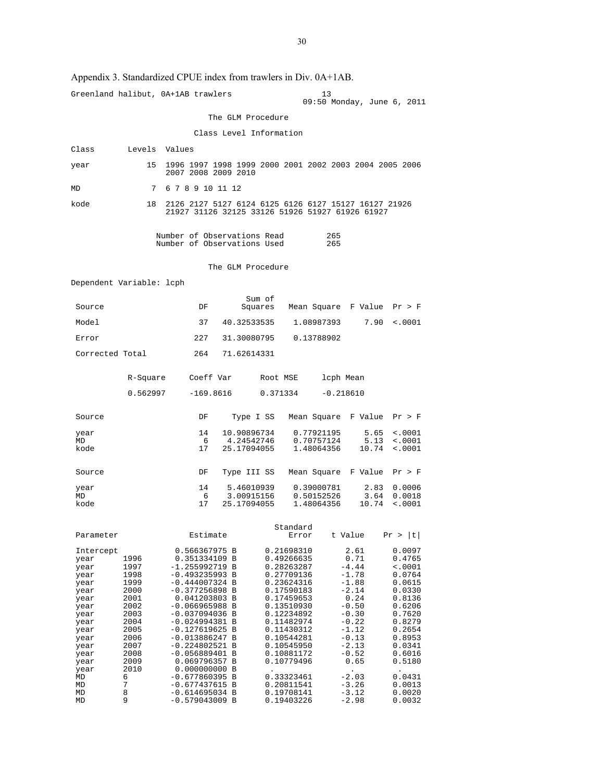## Appendix 3. Standardized CPUE index from trawlers in Div. 0A+1AB.

|                          |               | Greenland halibut, 0A+1AB trawlers                                                                      |                           |                          | 13<br>09:50 Monday, June 6, 2011     |                            |
|--------------------------|---------------|---------------------------------------------------------------------------------------------------------|---------------------------|--------------------------|--------------------------------------|----------------------------|
|                          |               |                                                                                                         | The GLM Procedure         |                          |                                      |                            |
|                          |               |                                                                                                         | Class Level Information   |                          |                                      |                            |
| Class                    | Levels Values |                                                                                                         |                           |                          |                                      |                            |
| year                     | 15            | 1996 1997 1998 1999 2000 2001 2002 2003 2004 2005 2006<br>2007 2008 2009 2010                           |                           |                          |                                      |                            |
| MD                       | 7             | 6 7 8 9 10 11 12                                                                                        |                           |                          |                                      |                            |
| kode                     | 18            | 2126 2127 5127 6124 6125 6126 6127 15127 16127 21926<br>21927 31126 32125 33126 51926 51927 61926 61927 |                           |                          |                                      |                            |
|                          |               | Number of Observations Read<br>Number of Observations Used                                              |                           |                          | 265<br>265                           |                            |
|                          |               |                                                                                                         | The GLM Procedure         |                          |                                      |                            |
| Dependent Variable: lcph |               |                                                                                                         |                           |                          |                                      |                            |
|                          |               |                                                                                                         | Sum of                    |                          |                                      |                            |
| Source                   |               | DF                                                                                                      |                           |                          | Squares Mean Square F Value Pr > F   |                            |
| Model                    |               | 37                                                                                                      | 40.32533535               | 1.08987393               | 7.90                                 | $\sim 0001$                |
| Error                    |               | 227                                                                                                     | 31.30080795               | 0.13788902               |                                      |                            |
| Corrected Total          |               | 264                                                                                                     | 71.62614331               |                          |                                      |                            |
|                          | R-Square      | Coeff Var                                                                                               |                           | Root MSE                 | lcph Mean                            |                            |
|                          | 0.562997      |                                                                                                         | $-169.8616$ 0.371334      |                          | $-0.218610$                          |                            |
| Source                   |               | DF                                                                                                      |                           |                          | Type I SS Mean Square F Value Pr > F |                            |
| year<br>MD               |               | 14<br>6                                                                                                 | 10.90896734<br>4.24542746 | 0.77921195<br>0.70757124 | 5.65<br>5.13                         | $\sim 0001$<br>$\sim 0001$ |
| kode                     |               | 17                                                                                                      | 25.17094055               | 1.48064356               | 10.74                                | $\sim 0001$                |
| Source                   |               | DF                                                                                                      | Type III SS               |                          | Mean Square F Value                  | Pr > F                     |
| year                     |               | 14                                                                                                      | 5.46010939                | 0.39000781               | 2.83                                 | 0.0006                     |
| MD<br>kode               |               | 6<br>17                                                                                                 | 3.00915156<br>25.17094055 | 0.50152526<br>1.48064356 | 3.64<br>10.74                        | 0.0018<br>$\sim 0001$      |
|                          |               |                                                                                                         |                           |                          |                                      |                            |
| Parameter                |               | Estimate                                                                                                |                           | Standard<br>Error        | t Value                              | Pr >  t                    |
| Intercept                |               | 0.566367975 B                                                                                           |                           | 0.21698310               | 2.61                                 | 0.0097                     |
| year<br>year             | 1996<br>1997  | 0.351334109 B<br>$-1.255992719$ B                                                                       |                           | 0.49266635<br>0.28263287 | 0.71<br>$-4.44$                      | 0.4765<br>$\sim 0001$      |
| year                     | 1998          | $-0.493235993 B$                                                                                        |                           | 0.27709136               | $-1.78$                              | 0.0764                     |
| year<br>year             | 1999<br>2000  | $-0.444007324$ B<br>$-0.377256898$ B                                                                    |                           | 0.23624316<br>0.17590183 | $-1.88$<br>$-2.14$                   | 0.0615<br>0.0330           |
| year                     | 2001          | 0.041203803 B                                                                                           |                           | 0.17459653               | 0.24                                 | 0.8136                     |
| year                     | 2002          | $-0.066965988$ B                                                                                        |                           | 0.13510930               | $-0.50$                              | 0.6206                     |
| year<br>year             | 2003<br>2004  | $-0.037094036$ B<br>$-0.024994381$ B                                                                    |                           | 0.12234892<br>0.11482974 | $-0.30$<br>$-0.22$                   | 0.7620<br>0.8279           |
| year                     | 2005          | $-0.127619625$ B                                                                                        |                           | 0.11430312               | $-1.12$                              | 0.2654                     |
| year<br>year             | 2006<br>2007  | $-0.013886247 B$<br>$-0.224802521$ B                                                                    |                           | 0.10544281<br>0.10545950 | $-0.13$<br>$-2.13$                   | 0.8953<br>0.0341           |
| year                     | 2008          | $-0.056889401 B$                                                                                        |                           | 0.10881172               | $-0.52$                              | 0.6016                     |
| year                     | 2009          | 0.069796357 B                                                                                           |                           | 0.10779496               | 0.65                                 | 0.5180                     |
| year<br>MD               | 2010<br>6     | 0.000000000 B<br>$-0.677860395 B$                                                                       |                           | 0.33323461               | $\ddot{\phantom{0}}$<br>$-2.03$      | $\bullet$<br>0.0431        |
| MD                       | 7             | $-0.677437615 B$                                                                                        |                           | 0.20811541               | $-3.26$                              | 0.0013                     |
| MD                       | 8<br>9        | $-0.614695034 B$                                                                                        |                           | 0.19708141               | $-3.12$                              | 0.0020                     |
| MD                       |               | $-0.579043009$ B                                                                                        |                           | 0.19403226               | $-2.98$                              | 0.0032                     |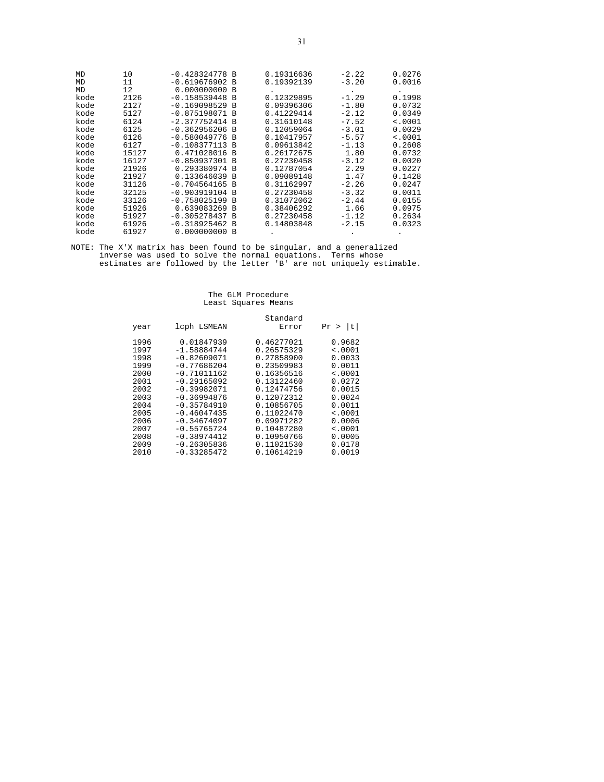| MD   | 10    | $-0.428324778 B$ |          | 0.19316636 | $-2.22$ | 0.0276  |
|------|-------|------------------|----------|------------|---------|---------|
| MD   | 11    | $-0.619676902$   | B        | 0.19392139 | $-3.20$ | 0.0016  |
| MD   | 12    | 0.000000000      | B        |            | ۰       |         |
| kode | 2126  | $-0.158539448$   | B        | 0.12329895 | $-1.29$ | 0.1998  |
| kode | 2127  | $-0.169098529$   | B        | 0.09396306 | $-1.80$ | 0.0732  |
| kode | 5127  | $-0.875198071$   | B        | 0.41229414 | $-2.12$ | 0.0349  |
| kode | 6124  | $-2.377752414 B$ |          | 0.31610148 | $-7.52$ | < .0001 |
| kode | 6125  | $-0.362956206$   | B        | 0.12059064 | $-3.01$ | 0.0029  |
| kode | 6126  | $-0.580049776$   | <b>B</b> | 0.10417957 | $-5.57$ | < .0001 |
| kode | 6127  | $-0.108377113$   | B        | 0.09613842 | $-1.13$ | 0.2608  |
| kode | 15127 | 0.471028016 B    |          | 0.26172675 | 1.80    | 0.0732  |
| kode | 16127 | $-0.850937301 B$ |          | 0.27230458 | $-3.12$ | 0.0020  |
| kode | 21926 | 0.293380974      | B        | 0.12787054 | 2.29    | 0.0227  |
| kode | 21927 | 0.133646039      | B        | 0.09089148 | 1.47    | 0.1428  |
| kode | 31126 | $-0.704564165 B$ |          | 0.31162997 | $-2.26$ | 0.0247  |
| kode | 32125 | $-0.903919104$   | B        | 0.27230458 | $-3.32$ | 0.0011  |
| kode | 33126 | $-0.758025199$   | B        | 0.31072062 | $-2.44$ | 0.0155  |
| kode | 51926 | 0.639083269      | B        | 0.38406292 | 1.66    | 0.0975  |
| kode | 51927 | $-0.305278437 B$ |          | 0.27230458 | $-1.12$ | 0.2634  |
| kode | 61926 | $-0.318925462$   | B        | 0.14803848 | $-2.15$ | 0.0323  |
| kode | 61927 | 0.000000000      | B        |            |         |         |

## The GLM Procedure Least Squares Means

|              |                             | Standard                 |                    |
|--------------|-----------------------------|--------------------------|--------------------|
| year         | lcph LSMEAN                 | Error                    | t <br>Pr<br>$\geq$ |
| 1996<br>1997 | 0.01847939<br>$-1.58884744$ | 0.46277021<br>0.26575329 | 0.9682<br>< .0001  |
| 1998         | $-0.82609071$               | 0.27858900               | 0.0033             |
| 1999         | $-0.77686204$               | 0.23509983               | 0.0011             |
| 2000         | $-0.71011162$               | 0.16356516               | $\leq 0001$        |
| 2001         | $-0.29165092$               | 0.13122460               | 0.0272             |
| 2002         | $-0.39982071$               | 0.12474756               | 0.0015             |
| 2003         | $-0.36994876$               | 0.12072312               | 0.0024             |
| 2004         | $-0.35784910$               | 0.10856705               | 0.0011             |
| 2005         | $-0.46047435$               | 0.11022470               | < .0001            |
| 2006         | $-0.34674097$               | 0.09971282               | 0.0006             |
| 2007         | $-0.55765724$               | 0.10487280               | $\leq 0001$        |
| 2008         | $-0.38974412$               | 0.10950766               | 0.0005             |
| 2009         | $-0.26305836$               | 0.11021530               | 0.0178             |
| 2010         | $-0.33285472$               | 0.10614219               | 0.0019             |
|              |                             |                          |                    |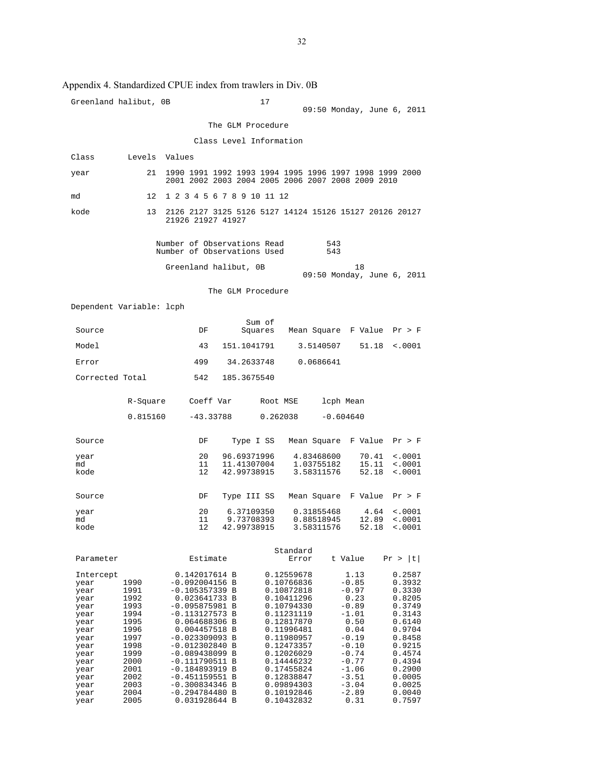| Greenland halibut, OB                                                                                                                     |                                                                                                                              |                                                                                                                                                                                                                                                                                                                                   |                                         | 17                                                                                                                                                                                                                                         | 09:50 Monday, June 6, 2011                                                                                                                                               |                                                                                                                                                                        |
|-------------------------------------------------------------------------------------------------------------------------------------------|------------------------------------------------------------------------------------------------------------------------------|-----------------------------------------------------------------------------------------------------------------------------------------------------------------------------------------------------------------------------------------------------------------------------------------------------------------------------------|-----------------------------------------|--------------------------------------------------------------------------------------------------------------------------------------------------------------------------------------------------------------------------------------------|--------------------------------------------------------------------------------------------------------------------------------------------------------------------------|------------------------------------------------------------------------------------------------------------------------------------------------------------------------|
|                                                                                                                                           |                                                                                                                              |                                                                                                                                                                                                                                                                                                                                   | The GLM Procedure                       |                                                                                                                                                                                                                                            |                                                                                                                                                                          |                                                                                                                                                                        |
|                                                                                                                                           |                                                                                                                              |                                                                                                                                                                                                                                                                                                                                   |                                         | Class Level Information                                                                                                                                                                                                                    |                                                                                                                                                                          |                                                                                                                                                                        |
| Class                                                                                                                                     | Levels                                                                                                                       | Values                                                                                                                                                                                                                                                                                                                            |                                         |                                                                                                                                                                                                                                            |                                                                                                                                                                          |                                                                                                                                                                        |
| year                                                                                                                                      | 21                                                                                                                           |                                                                                                                                                                                                                                                                                                                                   |                                         |                                                                                                                                                                                                                                            | 1990 1991 1992 1993 1994 1995 1996 1997 1998 1999 2000<br>2001 2002 2003 2004 2005 2006 2007 2008 2009 2010                                                              |                                                                                                                                                                        |
| md                                                                                                                                        | 12                                                                                                                           | 1 2 3 4 5 6 7 8 9 10 11 12                                                                                                                                                                                                                                                                                                        |                                         |                                                                                                                                                                                                                                            |                                                                                                                                                                          |                                                                                                                                                                        |
| kode                                                                                                                                      | 13                                                                                                                           | 21926 21927 41927                                                                                                                                                                                                                                                                                                                 |                                         |                                                                                                                                                                                                                                            | 2126 2127 3125 5126 5127 14124 15126 15127 20126 20127                                                                                                                   |                                                                                                                                                                        |
|                                                                                                                                           |                                                                                                                              | Number of Observations Read<br>Number of Observations Used                                                                                                                                                                                                                                                                        |                                         |                                                                                                                                                                                                                                            | 543<br>543                                                                                                                                                               |                                                                                                                                                                        |
|                                                                                                                                           |                                                                                                                              | Greenland halibut, OB                                                                                                                                                                                                                                                                                                             |                                         |                                                                                                                                                                                                                                            | 18<br>09:50 Monday, June 6, 2011                                                                                                                                         |                                                                                                                                                                        |
|                                                                                                                                           |                                                                                                                              |                                                                                                                                                                                                                                                                                                                                   | The GLM Procedure                       |                                                                                                                                                                                                                                            |                                                                                                                                                                          |                                                                                                                                                                        |
| Dependent Variable: lcph                                                                                                                  |                                                                                                                              |                                                                                                                                                                                                                                                                                                                                   |                                         |                                                                                                                                                                                                                                            |                                                                                                                                                                          |                                                                                                                                                                        |
| Source                                                                                                                                    |                                                                                                                              | DF                                                                                                                                                                                                                                                                                                                                | Sum of                                  | Squares                                                                                                                                                                                                                                    | Mean Square F Value                                                                                                                                                      | Pr > F                                                                                                                                                                 |
| Model                                                                                                                                     |                                                                                                                              | 43                                                                                                                                                                                                                                                                                                                                | 151.1041791                             |                                                                                                                                                                                                                                            | 51.18<br>3.5140507                                                                                                                                                       | $\sim 0001$                                                                                                                                                            |
| Error                                                                                                                                     |                                                                                                                              | 499                                                                                                                                                                                                                                                                                                                               | 34.2633748                              |                                                                                                                                                                                                                                            | 0.0686641                                                                                                                                                                |                                                                                                                                                                        |
| Corrected Total                                                                                                                           |                                                                                                                              | 542                                                                                                                                                                                                                                                                                                                               | 185.3675540                             |                                                                                                                                                                                                                                            |                                                                                                                                                                          |                                                                                                                                                                        |
|                                                                                                                                           | R-Square                                                                                                                     | Coeff Var                                                                                                                                                                                                                                                                                                                         |                                         | Root MSE                                                                                                                                                                                                                                   | lcph Mean                                                                                                                                                                |                                                                                                                                                                        |
|                                                                                                                                           | 0.815160                                                                                                                     | -43.33788                                                                                                                                                                                                                                                                                                                         |                                         | 0.262038                                                                                                                                                                                                                                   | $-0.604640$                                                                                                                                                              |                                                                                                                                                                        |
| Source                                                                                                                                    |                                                                                                                              | DF                                                                                                                                                                                                                                                                                                                                | Type I SS                               | Mean Square                                                                                                                                                                                                                                | F Value                                                                                                                                                                  | Pr > F                                                                                                                                                                 |
| year<br>md                                                                                                                                |                                                                                                                              | 20<br>11                                                                                                                                                                                                                                                                                                                          | 96.69371996<br>11.41307004              | 4.83468600<br>1.03755182                                                                                                                                                                                                                   | 70.41<br>15.11                                                                                                                                                           | < .0001<br>< .0001                                                                                                                                                     |
| kode                                                                                                                                      |                                                                                                                              | 12                                                                                                                                                                                                                                                                                                                                | 42.99738915                             | 3.58311576                                                                                                                                                                                                                                 | 52.18                                                                                                                                                                    | < .0001                                                                                                                                                                |
| Source                                                                                                                                    |                                                                                                                              | DF                                                                                                                                                                                                                                                                                                                                | Type III SS                             | Mean Square                                                                                                                                                                                                                                | F Value                                                                                                                                                                  | Pr > F                                                                                                                                                                 |
| year<br>md<br>kode                                                                                                                        |                                                                                                                              | 20<br>11<br>12                                                                                                                                                                                                                                                                                                                    | 6.37109350<br>9.73708393<br>42.99738915 | 0.31855468<br>0.88518945<br>3.58311576                                                                                                                                                                                                     | 4.64<br>12.89<br>52.18                                                                                                                                                   | < .0001<br>< .0001<br>< .0001                                                                                                                                          |
|                                                                                                                                           |                                                                                                                              |                                                                                                                                                                                                                                                                                                                                   |                                         |                                                                                                                                                                                                                                            |                                                                                                                                                                          |                                                                                                                                                                        |
| Parameter                                                                                                                                 |                                                                                                                              | Estimate                                                                                                                                                                                                                                                                                                                          |                                         | Standard<br>Error                                                                                                                                                                                                                          | t Value                                                                                                                                                                  | Pr >  t                                                                                                                                                                |
| Intercept<br>year<br>year<br>year<br>year<br>year<br>year<br>year<br>year<br>year<br>year<br>year<br>year<br>year<br>year<br>year<br>year | 1990<br>1991<br>1992<br>1993<br>1994<br>1995<br>1996<br>1997<br>1998<br>1999<br>2000<br>2001<br>2002<br>2003<br>2004<br>2005 | 0.142017614 B<br>$-0.092004156$ B<br>$-0.105357339$ B<br>0.023641733 B<br>$-0.095875981 B$<br>$-0.113127573 B$<br>0.064688306 B<br>0.004457518 B<br>$-0.023309093$ B<br>$-0.012302840 B$<br>$-0.089438099 B$<br>$-0.111790511$ B<br>$-0.184893919 B$<br>$-0.451159551$ B<br>$-0.300834346$ B<br>$-0.294784480 B$<br>0.031928644 B |                                         | 0.12559678<br>0.10766836<br>0.10872818<br>0.10411296<br>0.10794330<br>0.11231119<br>0.12817870<br>0.11996481<br>0.11980957<br>0.12473357<br>0.12026029<br>0.14446232<br>0.17455824<br>0.12838847<br>0.09894303<br>0.10192846<br>0.10432832 | 1.13<br>$-0.85$<br>$-0.97$<br>0.23<br>$-0.89$<br>$-1.01$<br>0.50<br>0.04<br>$-0.19$<br>$-0.10$<br>$-0.74$<br>$-0.77$<br>$-1.06$<br>$-3.51$<br>$-3.04$<br>$-2.89$<br>0.31 | 0.2587<br>0.3932<br>0.3330<br>0.8205<br>0.3749<br>0.3143<br>0.6140<br>0.9704<br>0.8458<br>0.9215<br>0.4574<br>0.4394<br>0.2900<br>0.0005<br>0.0025<br>0.0040<br>0.7597 |

#### Appendix 4. Standardized CPUE index from trawlers in Div. 0B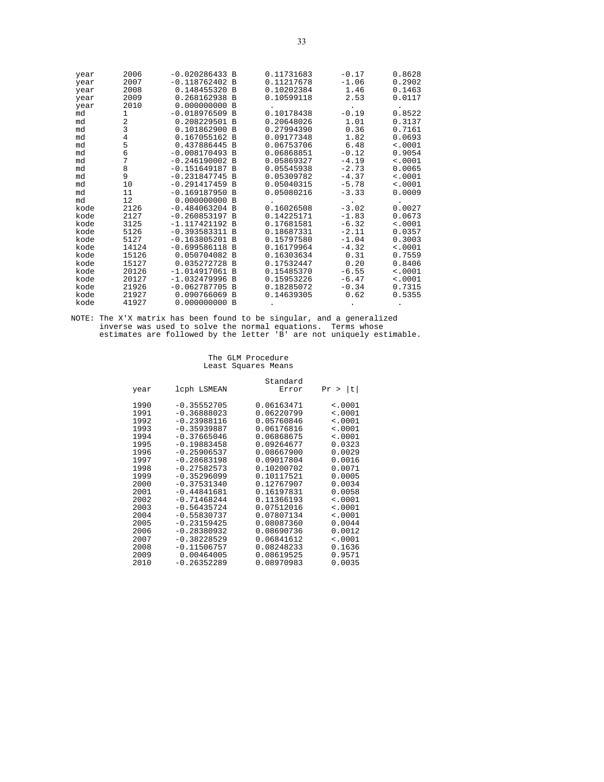| year | 2006  | $-0.020286433 B$ |                | 0.11731683 | $-0.17$ | 0.8628  |
|------|-------|------------------|----------------|------------|---------|---------|
| year | 2007  | $-0.118762402$   | B              | 0.11217678 | $-1.06$ | 0.2902  |
| year | 2008  | 0.148455320      | B              | 0.10202384 | 1.46    | 0.1463  |
| year | 2009  | 0.268162938      | B              | 0.10599118 | 2.53    | 0.0117  |
| year | 2010  | 0.000000000      | B              |            |         |         |
| md   | 1     | $-0.018976509$   | B              | 0.10178438 | $-0.19$ | 0.8522  |
| md   | 2     | 0.208229501      | B              | 0.20648026 | 1.01    | 0.3137  |
| md   | 3     | 0.101862900      | <b>B</b>       | 0.27994390 | 0.36    | 0.7161  |
| md   | 4     | 0.167055162      | B              | 0.09177348 | 1.82    | 0.0693  |
| md   | 5     | 0.437886445      | $\overline{B}$ | 0.06753706 | 6.48    | < .0001 |
| md   | 6     | $-0.008170493$   | B              | 0.06868851 | $-0.12$ | 0.9054  |
| md   | 7     | $-0.246190002$   | $\mathbf{B}$   | 0.05869327 | $-4.19$ | < .0001 |
| md   | 8     | $-0.151649187$   | B              | 0.05545938 | $-2.73$ | 0.0065  |
| md   | 9     | $-0.231847745 B$ |                | 0.05309782 | $-4.37$ | < .0001 |
| md   | 10    | $-0.291417459$   | B              | 0.05040315 | $-5.78$ | < .0001 |
| md   | 11    | $-0.169187950$   | <b>B</b>       | 0.05080216 | $-3.33$ | 0.0009  |
| md   | 12    | 0.000000000      | B              |            |         |         |
| kode | 2126  | $-0.484063204$ B |                | 0.16026508 | $-3.02$ | 0.0027  |
| kode | 2127  | $-0.260853197$   | B              | 0.14225171 | $-1.83$ | 0.0673  |
| kode | 3125  | $-1.117421192$   | <b>B</b>       | 0.17681581 | $-6.32$ | < .0001 |
| kode | 5126  | $-0.393583311$   | B              | 0.18687331 | $-2.11$ | 0.0357  |
| kode | 5127  | $-0.163805201$   | B              | 0.15797580 | $-1.04$ | 0.3003  |
| kode | 14124 | $-0.699586118$   | <b>B</b>       | 0.16179964 | $-4.32$ | < .0001 |
| kode | 15126 | 0.050704082      | B              | 0.16303634 | 0.31    | 0.7559  |
| kode | 15127 | 0.035272728      | <b>B</b>       | 0.17532447 | 0.20    | 0.8406  |
| kode | 20126 | $-1.014917061$   | B              | 0.15485370 | $-6.55$ | < .0001 |
| kode | 20127 | $-1.032479996$   | $\overline{B}$ | 0.15953226 | $-6.47$ | < .0001 |
| kode | 21926 | $-0.062787705$   | B              | 0.18285072 | $-0.34$ | 0.7315  |
| kode | 21927 | 0.090766069      | - B            | 0.14639305 | 0.62    | 0.5355  |
| kode | 41927 | 0.000000000      | B              |            |         |         |

## The GLM Procedure Least Squares Means

|      |               | Standard   |             |
|------|---------------|------------|-------------|
| year | lcph LSMEAN   | Error      | >  t <br>Pr |
| 1990 | $-0.35552705$ | 0.06163471 | $\sim 0001$ |
| 1991 | $-0.36888023$ | 0.06220799 | < .0001     |
| 1992 | $-0.23988116$ | 0.05760846 | $\sim 0001$ |
| 1993 | $-0.35939887$ | 0.06176816 | < .0001     |
| 1994 | $-0.37665046$ | 0.06868675 | < .0001     |
| 1995 | $-0.19883458$ | 0.09264677 | 0.0323      |
| 1996 | $-0.25906537$ | 0.08667900 | 0.0029      |
| 1997 | $-0.28683198$ | 0.09017804 | 0.0016      |
| 1998 | $-0.27582573$ | 0.10200702 | 0.0071      |
| 1999 | $-0.35296099$ | 0.10117521 | 0.0005      |
| 2000 | $-0.37531340$ | 0.12767907 | 0.0034      |
| 2001 | $-0.44841681$ | 0.16197831 | 0.0058      |
| 2002 | $-0.71468244$ | 0.11366193 | < .0001     |
| 2003 | $-0.56435724$ | 0.07512016 | < .0001     |
| 2004 | $-0.55830737$ | 0.07807134 | < .0001     |
| 2005 | $-0.23159425$ | 0.08087360 | 0.0044      |
| 2006 | $-0.28380932$ | 0.08690736 | 0.0012      |
| 2007 | $-0.38228529$ | 0.06841612 | < .0001     |
| 2008 | $-0.11506757$ | 0.08248233 | 0.1636      |
| 2009 | 0.00464005    | 0.08619525 | 0.9571      |
| 2010 | $-0.26352289$ | 0.08970983 | 0.0035      |
|      |               |            |             |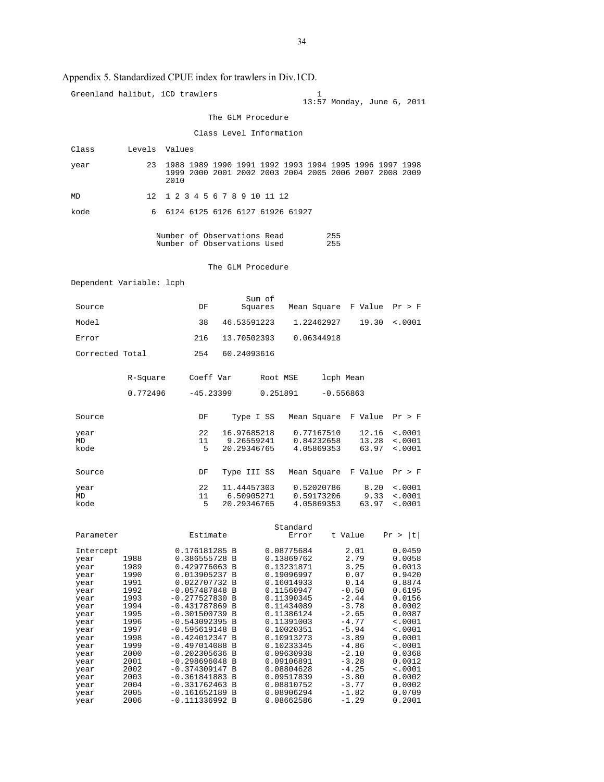## Appendix 5. Standardized CPUE index for trawlers in Div.1CD.

|                          |              | Greenland halibut, 1CD trawlers                                |                           | 1                        | 13:57 Monday, June 6, 2011 |                            |  |  |
|--------------------------|--------------|----------------------------------------------------------------|---------------------------|--------------------------|----------------------------|----------------------------|--|--|
|                          |              |                                                                | The GLM Procedure         |                          |                            |                            |  |  |
| Class Level Information  |              |                                                                |                           |                          |                            |                            |  |  |
| Class                    |              | Levels Values                                                  |                           |                          |                            |                            |  |  |
|                          | 23           | 1988 1989 1990 1991 1992 1993 1994 1995 1996 1997 1998         |                           |                          |                            |                            |  |  |
| year                     |              | 1999 2000 2001 2002 2003 2004 2005 2006 2007 2008 2009<br>2010 |                           |                          |                            |                            |  |  |
| MD                       |              | 12 1 2 3 4 5 6 7 8 9 10 11 12                                  |                           |                          |                            |                            |  |  |
| kode                     | 6            | 6124 6125 6126 6127 61926 61927                                |                           |                          |                            |                            |  |  |
|                          |              | Number of Observations Read<br>Number of Observations Used     |                           | 255<br>255               |                            |                            |  |  |
|                          |              |                                                                | The GLM Procedure         |                          |                            |                            |  |  |
| Dependent Variable: lcph |              |                                                                |                           |                          |                            |                            |  |  |
|                          |              |                                                                | Sum of                    |                          |                            |                            |  |  |
| Source                   |              | DF                                                             | Squares                   |                          | Mean Square F Value Pr > F |                            |  |  |
| Model                    |              | 38                                                             | 46.53591223               | 1.22462927               | 19.30                      | < .0001                    |  |  |
| Error                    |              | 216                                                            | 13.70502393               | 0.06344918               |                            |                            |  |  |
| Corrected Total          |              | 254                                                            | 60.24093616               |                          |                            |                            |  |  |
|                          | R-Square     | Coeff Var                                                      |                           | Root MSE                 | lcph Mean                  |                            |  |  |
|                          | 0.772496     | $-45.23399$ 0.251891                                           |                           |                          | $-0.556863$                |                            |  |  |
| Source                   |              | DF                                                             | Type I SS                 |                          | Mean Square F Value Pr > F |                            |  |  |
| year<br>MD               |              | 22<br>11                                                       | 16.97685218<br>9.26559241 | 0.77167510<br>0.84232658 | 12.16<br>13.28             | $\sim 0001$<br>$\sim 0001$ |  |  |
| kode                     |              | 5                                                              | 20.29346765               | 4.05869353               | 63.97                      | $\sim 0001$                |  |  |
|                          |              |                                                                |                           |                          |                            |                            |  |  |
| Source                   |              | DF                                                             | Type III SS               | Mean Square              | F Value                    | Pr > F                     |  |  |
| year<br>MD               |              | 22<br>11                                                       | 11.44457303<br>6.50905271 | 0.52020786<br>0.59173206 | 8.20<br>9.33               | $\sim 0001$<br>< .0001     |  |  |
| kode                     |              | 5                                                              | 20.29346765               | 4.05869353               | 63.97                      | $\sim 0001$                |  |  |
| Parameter                |              | Estimate                                                       |                           | Standard<br>Error        | t Value                    | Pr >  t                    |  |  |
| Intercept                |              | 0.176181285 B                                                  |                           | 0.08775684               | 2.01                       | 0.0459                     |  |  |
| year                     | 1988         | 0.386555728 B                                                  |                           | 0.13869762               | 2.79                       | 0.0058                     |  |  |
| year<br>year             | 1989<br>1990 | 0.429776063 B<br>0.013905237 B                                 |                           | 0.13231871<br>0.19096997 | 3.25<br>0.07               | 0.0013<br>0.9420           |  |  |
| year                     | 1991         | 0.022707732 B                                                  |                           | 0.16014933               | 0.14                       | 0.8874                     |  |  |
| year<br>year             | 1992<br>1993 | $-0.057487848$ B<br>$-0.277527830$ B                           |                           | 0.11560947<br>0.11390345 | $-0.50$<br>$-2.44$         | 0.6195<br>0.0156           |  |  |
| year                     | 1994         | $-0.431787869$ B                                               |                           | 0.11434089               | $-3.78$                    | 0.0002                     |  |  |
| year<br>year             | 1995<br>1996 | $-0.301500739$ B<br>$-0.543092395 B$                           |                           | 0.11386124<br>0.11391003 | $-2.65$<br>$-4.77$         | 0.0087<br>< .0001          |  |  |
| year                     | 1997         | $-0.595619148 B$                                               |                           | 0.10020351               | $-5.94$                    | < .0001                    |  |  |
| year<br>year             | 1998<br>1999 | $-0.424012347 B$<br>$-0.497014088$ B                           |                           | 0.10913273<br>0.10233345 | $-3.89$<br>$-4.86$         | 0.0001<br>$\sim 0001$      |  |  |
| year                     | 2000         | $-0.202305636 B$                                               |                           | 0.09630938               | $-2.10$                    | 0.0368                     |  |  |
| year<br>year             | 2001<br>2002 | $-0.298696048 B$<br>$-0.374309147 B$                           |                           | 0.09106891<br>0.08804628 | $-3.28$<br>$-4.25$         | 0.0012<br>$\sim 0001$      |  |  |
| year                     | 2003         | $-0.361841883 B$                                               |                           | 0.09517839               | $-3.80$                    | 0.0002                     |  |  |
| year                     | 2004         | $-0.331762463 B$                                               |                           | 0.08810752               | $-3.77$                    | 0.0002                     |  |  |
| year<br>year             | 2005<br>2006 | $-0.161652189$ B<br>$-0.111336992 B$                           |                           | 0.08906294<br>0.08662586 | $-1.82$<br>$-1.29$         | 0.0709<br>0.2001           |  |  |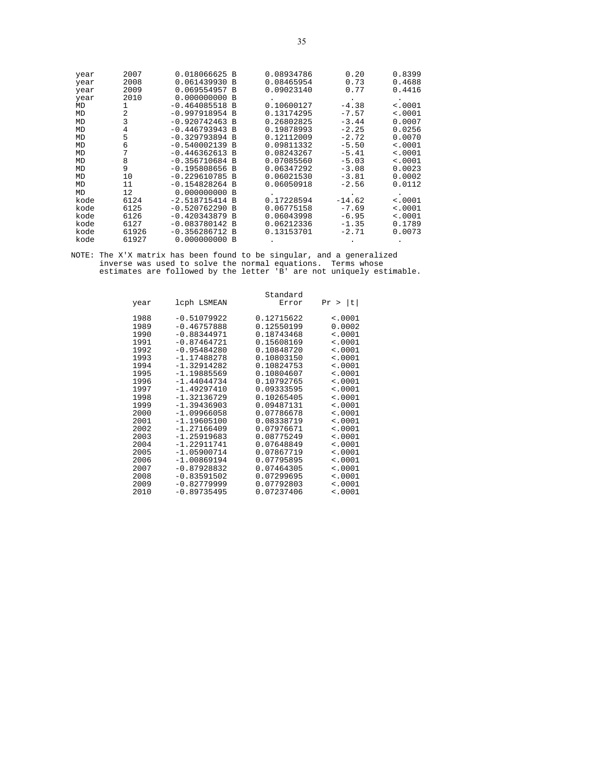| year | 2007  | 0.018066625      | B        | 0.08934786 | 0.20     | 0.8399      |
|------|-------|------------------|----------|------------|----------|-------------|
| year | 2008  | 0.061439930      | B        | 0.08465954 | 0.73     | 0.4688      |
| year | 2009  | 0.069554957      | B        | 0.09023140 | 0.77     | 0.4416      |
| year | 2010  | 0.000000000      | B        |            |          |             |
| MD   | 1     | $-0.464085518$   | <b>B</b> | 0.10600127 | $-4.38$  | $\leq 0001$ |
| MD   | 2     | $-0.997918954$   | B        | 0.13174295 | $-7.57$  | < .0001     |
| MD   | 3     | $-0.920742463$   | B        | 0.26802825 | $-3.44$  | 0.0007      |
| MD   | 4     | $-0.446793943$   | <b>B</b> | 0.19878993 | $-2.25$  | 0.0256      |
| MD   | 5     | $-0.329793894$   | B        | 0.12112009 | $-2.72$  | 0.0070      |
| MD   | 6     | $-0.540002139$   | B        | 0.09811332 | $-5.50$  | < .0001     |
| MD   |       | $-0.446362613 B$ |          | 0.08243267 | $-5.41$  | < .0001     |
| MD   | 8     | $-0.356710684$   | B        | 0.07085560 | $-5.03$  | < .0001     |
| MD   | 9     | $-0.195808656$   | B        | 0.06347292 | $-3.08$  | 0.0023      |
| MD   | 10    | $-0.229610785$   | B        | 0.06021530 | $-3.81$  | 0.0002      |
| MD   | 11    | $-0.154828264$   | B        | 0.06050918 | $-2.56$  | 0.0112      |
| MD   | 12    | 0.000000000      | B        |            |          |             |
| kode | 6124  | $-2.518715414$   | B        | 0.17228594 | $-14.62$ | < .0001     |
| kode | 6125  | $-0.520762290$   | B        | 0.06775158 | $-7.69$  | < .0001     |
| kode | 6126  | $-0.420343879$   | B        | 0.06043998 | $-6.95$  | < .0001     |
| kode | 6127  | $-0.083780142$   | B        | 0.06212336 | $-1.35$  | 0.1789      |
| kode | 61926 | $-0.356286712$   | <b>B</b> | 0.13153701 | $-2.71$  | 0.0073      |
| kode | 61927 | 0.000000000      | B        |            |          |             |

| year | lcph LSMEAN   | Standard<br>Error | Pr >  t     |
|------|---------------|-------------------|-------------|
| 1988 | $-0.51079922$ | 0.12715622        | $\sim 0001$ |
| 1989 | $-0.46757888$ | 0.12550199        | 0.0002      |
| 1990 | $-0.88344971$ | 0.18743468        | < .0001     |
| 1991 | $-0.87464721$ | 0.15608169        | < .0001     |
| 1992 | $-0.95484280$ | 0.10848720        | < .0001     |
| 1993 | $-1.17488278$ | 0.10803150        | < .0001     |
| 1994 | $-1.32914282$ | 0.10824753        | < .0001     |
| 1995 | $-1.19885569$ | 0.10804607        | < .0001     |
| 1996 | $-1.44044734$ | 0.10792765        | < .0001     |
| 1997 | $-1.49297410$ | 0.09333595        | < .0001     |
| 1998 | $-1.32136729$ | 0.10265405        | $\sim 0001$ |
| 1999 | $-1.39436903$ | 0.09487131        | $\sim 0001$ |
| 2000 | $-1.09966058$ | 0.07786678        | < .0001     |
| 2001 | $-1.19605100$ | 0.08338719        | < .0001     |
| 2002 | $-1.27166409$ | 0.07976671        | < .0001     |
| 2003 | $-1.25919683$ | 0.08775249        | $\sim 0001$ |
| 2004 | $-1.22911741$ | 0.07648849        | < .0001     |
| 2005 | $-1.05900714$ | 0.07867719        | < .0001     |
| 2006 | $-1.00869194$ | 0.07795895        | < .0001     |
| 2007 | $-0.87928832$ | 0.07464305        | < .0001     |
| 2008 | $-0.83591502$ | 0.07299695        | < .0001     |
| 2009 | $-0.82779999$ | 0.07792803        | < .0001     |
| 2010 | $-0.89735495$ | 0.07237406        | < .0001     |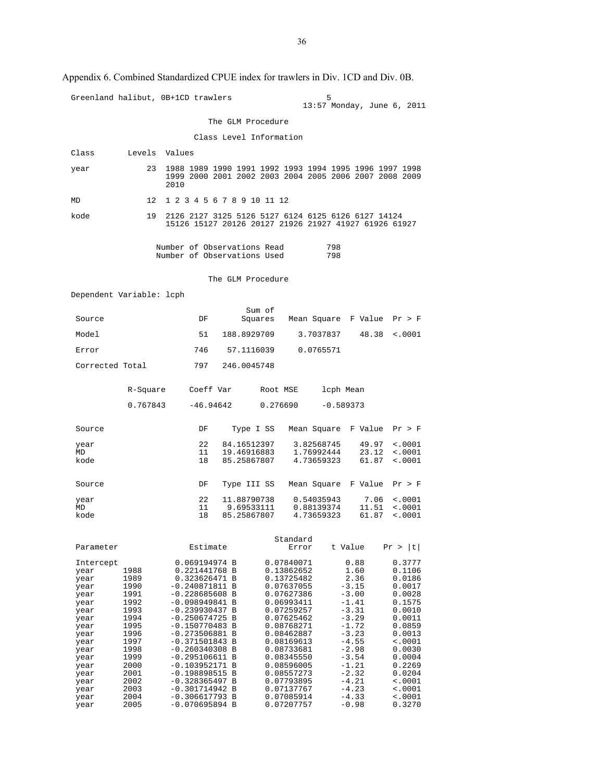| Appendix 6. Combined Standardized CPUE index for trawlers in Div. 1CD and Div. 0B.                                                                        |                                                                                                                                              |                                                                                                                                                                                                                                                                                                                                                       |                            |           |                                                                                                                                                                                                                                                                        |                          |                                                                                                                                                                                                  |                                                                                                                                                                                                       |
|-----------------------------------------------------------------------------------------------------------------------------------------------------------|----------------------------------------------------------------------------------------------------------------------------------------------|-------------------------------------------------------------------------------------------------------------------------------------------------------------------------------------------------------------------------------------------------------------------------------------------------------------------------------------------------------|----------------------------|-----------|------------------------------------------------------------------------------------------------------------------------------------------------------------------------------------------------------------------------------------------------------------------------|--------------------------|--------------------------------------------------------------------------------------------------------------------------------------------------------------------------------------------------|-------------------------------------------------------------------------------------------------------------------------------------------------------------------------------------------------------|
|                                                                                                                                                           |                                                                                                                                              | Greenland halibut, 0B+1CD trawlers                                                                                                                                                                                                                                                                                                                    |                            |           |                                                                                                                                                                                                                                                                        | 5                        |                                                                                                                                                                                                  | 13:57 Monday, June 6, 2011                                                                                                                                                                            |
|                                                                                                                                                           |                                                                                                                                              |                                                                                                                                                                                                                                                                                                                                                       | The GLM Procedure          |           |                                                                                                                                                                                                                                                                        |                          |                                                                                                                                                                                                  |                                                                                                                                                                                                       |
|                                                                                                                                                           |                                                                                                                                              |                                                                                                                                                                                                                                                                                                                                                       | Class Level Information    |           |                                                                                                                                                                                                                                                                        |                          |                                                                                                                                                                                                  |                                                                                                                                                                                                       |
| Class                                                                                                                                                     | Levels Values                                                                                                                                |                                                                                                                                                                                                                                                                                                                                                       |                            |           |                                                                                                                                                                                                                                                                        |                          |                                                                                                                                                                                                  |                                                                                                                                                                                                       |
| year                                                                                                                                                      | 23                                                                                                                                           | 1988 1989 1990 1991 1992 1993 1994 1995 1996 1997 1998<br>1999 2000 2001 2002 2003 2004 2005 2006 2007 2008 2009<br>2010                                                                                                                                                                                                                              |                            |           |                                                                                                                                                                                                                                                                        |                          |                                                                                                                                                                                                  |                                                                                                                                                                                                       |
| MD                                                                                                                                                        | 12                                                                                                                                           | 1 2 3 4 5 6 7 8 9 10 11 12                                                                                                                                                                                                                                                                                                                            |                            |           |                                                                                                                                                                                                                                                                        |                          |                                                                                                                                                                                                  |                                                                                                                                                                                                       |
| kode                                                                                                                                                      | 19                                                                                                                                           | 2126 2127 3125 5126 5127 6124 6125 6126 6127 14124<br>15126 15127 20126 20127 21926 21927 41927 61926 61927                                                                                                                                                                                                                                           |                            |           |                                                                                                                                                                                                                                                                        |                          |                                                                                                                                                                                                  |                                                                                                                                                                                                       |
|                                                                                                                                                           |                                                                                                                                              | Number of Observations Read<br>Number of Observations Used                                                                                                                                                                                                                                                                                            |                            |           |                                                                                                                                                                                                                                                                        | 798<br>798               |                                                                                                                                                                                                  |                                                                                                                                                                                                       |
|                                                                                                                                                           |                                                                                                                                              |                                                                                                                                                                                                                                                                                                                                                       | The GLM Procedure          |           |                                                                                                                                                                                                                                                                        |                          |                                                                                                                                                                                                  |                                                                                                                                                                                                       |
|                                                                                                                                                           | Dependent Variable: lcph                                                                                                                     |                                                                                                                                                                                                                                                                                                                                                       |                            |           |                                                                                                                                                                                                                                                                        |                          |                                                                                                                                                                                                  |                                                                                                                                                                                                       |
| Source                                                                                                                                                    |                                                                                                                                              | DF                                                                                                                                                                                                                                                                                                                                                    |                            | Sum of    |                                                                                                                                                                                                                                                                        |                          | Squares Mean Square F Value Pr > F                                                                                                                                                               |                                                                                                                                                                                                       |
| Model                                                                                                                                                     |                                                                                                                                              | 51                                                                                                                                                                                                                                                                                                                                                    | 188.8929709                |           |                                                                                                                                                                                                                                                                        | 3.7037837                |                                                                                                                                                                                                  | $48.38 \div .0001$                                                                                                                                                                                    |
| Error                                                                                                                                                     |                                                                                                                                              | 746                                                                                                                                                                                                                                                                                                                                                   | 57.1116039                 |           |                                                                                                                                                                                                                                                                        | 0.0765571                |                                                                                                                                                                                                  |                                                                                                                                                                                                       |
| Corrected Total                                                                                                                                           |                                                                                                                                              | 797                                                                                                                                                                                                                                                                                                                                                   | 246.0045748                |           |                                                                                                                                                                                                                                                                        |                          |                                                                                                                                                                                                  |                                                                                                                                                                                                       |
|                                                                                                                                                           | R-Square                                                                                                                                     | Coeff Var                                                                                                                                                                                                                                                                                                                                             |                            | Root MSE  |                                                                                                                                                                                                                                                                        | lcph Mean                |                                                                                                                                                                                                  |                                                                                                                                                                                                       |
|                                                                                                                                                           | 0.767843                                                                                                                                     |                                                                                                                                                                                                                                                                                                                                                       | $-46.94642$                | 0.276690  |                                                                                                                                                                                                                                                                        | $-0.589373$              |                                                                                                                                                                                                  |                                                                                                                                                                                                       |
| Source                                                                                                                                                    |                                                                                                                                              | DF                                                                                                                                                                                                                                                                                                                                                    |                            | Type I SS |                                                                                                                                                                                                                                                                        |                          | Mean Square F Value Pr > F                                                                                                                                                                       |                                                                                                                                                                                                       |
| year<br>MD                                                                                                                                                |                                                                                                                                              | 22<br>11                                                                                                                                                                                                                                                                                                                                              | 84.16512397<br>19.46916883 |           |                                                                                                                                                                                                                                                                        | 3.82568745<br>1.76992444 | 49.97<br>23.12                                                                                                                                                                                   | $\sim 0001$<br>$\sim 0001$                                                                                                                                                                            |
| kode                                                                                                                                                      |                                                                                                                                              | 18                                                                                                                                                                                                                                                                                                                                                    | 85.25867807                |           |                                                                                                                                                                                                                                                                        | 4.73659323               | 61.87                                                                                                                                                                                            | < .0001                                                                                                                                                                                               |
| Source                                                                                                                                                    |                                                                                                                                              | DF                                                                                                                                                                                                                                                                                                                                                    | Type III SS                |           |                                                                                                                                                                                                                                                                        |                          | Mean Square F Value Pr > F                                                                                                                                                                       |                                                                                                                                                                                                       |
| year<br>MD                                                                                                                                                |                                                                                                                                              | 22<br>11                                                                                                                                                                                                                                                                                                                                              | 11.88790738<br>9.69533111  |           | 0.54035943<br>0.88139374                                                                                                                                                                                                                                               |                          | 7.06                                                                                                                                                                                             | $\sim 0001$<br>$11.51$ <.0001                                                                                                                                                                         |
| kode                                                                                                                                                      |                                                                                                                                              | 18                                                                                                                                                                                                                                                                                                                                                    | 85.25867807                |           | 4.73659323                                                                                                                                                                                                                                                             |                          | 61.87                                                                                                                                                                                            | < .0001                                                                                                                                                                                               |
| Parameter                                                                                                                                                 |                                                                                                                                              | Estimate                                                                                                                                                                                                                                                                                                                                              |                            |           | Standard<br>Error                                                                                                                                                                                                                                                      |                          | t Value                                                                                                                                                                                          | t <br>Pr >                                                                                                                                                                                            |
| Intercept<br>year<br>year<br>year<br>year<br>year<br>year<br>year<br>year<br>year<br>year<br>year<br>year<br>year<br>year<br>year<br>year<br>year<br>year | 1988<br>1989<br>1990<br>1991<br>1992<br>1993<br>1994<br>1995<br>1996<br>1997<br>1998<br>1999<br>2000<br>2001<br>2002<br>2003<br>2004<br>2005 | 0.069194974 B<br>0.221441768 B<br>0.323626471 B<br>-0.240871811 B<br>$-0.228685608$ B<br>-0.098949841 B<br>-0.239930437 B<br>-0.250674725 B<br>-0.150770483 B<br>$-0.273506881$ B<br>-0.371501843 B<br>-0.260340308 B<br>-0.295106611 B<br>-0.103952171 B<br>-0.198898515 B<br>-0.328365497 B<br>-0.301714942 B<br>$-0.306617793 B$<br>-0.070695894 B |                            |           | 0.07840071<br>0.13862652<br>0.13725482<br>0.07637055<br>0.07627386<br>0.06993411<br>0.07259257<br>0.07625462<br>0.08768271<br>0.08462887<br>0.08169613<br>0.08733681<br>0.08345550<br>0.08596005<br>0.08557273<br>0.07793895<br>0.07137767<br>0.07085914<br>0.07207757 |                          | 0.88<br>1.60<br>2.36<br>$-3.15$<br>$-3.00$<br>$-1.41$<br>-3.31<br>$-3.29$<br>$-1.72$<br>$-3.23$<br>$-4.55$<br>$-2.98$<br>$-3.54$<br>$-1.21$<br>$-2.32$<br>$-4.21$<br>$-4.23$<br>$-4.33$<br>-0.98 | 0.3777<br>0.1106<br>0.0186<br>0.0017<br>0.0028<br>0.1575<br>0.0010<br>0.0011<br>0.0859<br>0.0013<br><.0001<br>0.0030<br>0.0004<br>0.2269<br>0.0204<br>$\sim 0001$<br>< .0001<br>$\sim 0001$<br>0.3270 |